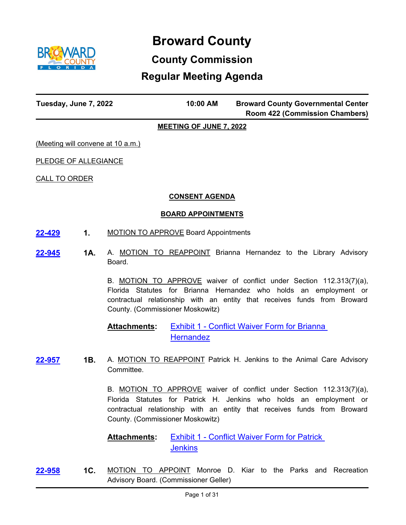

# **Broward County**

# **County Commission**

# **Regular Meeting Agenda**

| Tuesday, June 7, 2022 | 10:00 AM | <b>Broward County Governmental Center</b> |
|-----------------------|----------|-------------------------------------------|
|                       |          | <b>Room 422 (Commission Chambers)</b>     |

# **MEETING OF JUNE 7, 2022**

(Meeting will convene at 10 a.m.)

PLEDGE OF ALLEGIANCE

CALL TO ORDER

# **CONSENT AGENDA**

# **BOARD APPOINTMENTS**

- **[22-429](http://broward.legistar.com/gateway.aspx?m=l&id=/matter.aspx?key=9932) 1.** MOTION TO APPROVE Board Appointments
- **1A.** A. MOTION TO REAPPOINT Brianna Hernandez to the Library Advisory Board. **[22-945](http://broward.legistar.com/gateway.aspx?m=l&id=/matter.aspx?key=10449)**

B. MOTION TO APPROVE waiver of conflict under Section 112.313(7)(a), Florida Statutes for Brianna Hernandez who holds an employment or contractual relationship with an entity that receives funds from Broward County. (Commissioner Moskowitz)

#### [Exhibit 1 - Conflict Waiver Form for Brianna](http://broward.legistar.com/gateway.aspx?M=F&ID=181da18b-de57-4b68-b809-8599880fcfc4.pdf)  **Hernandez Attachments:**

**1B.** A. MOTION TO REAPPOINT Patrick H. Jenkins to the Animal Care Advisory Committee. **[22-957](http://broward.legistar.com/gateway.aspx?m=l&id=/matter.aspx?key=10461)**

> B. MOTION TO APPROVE waiver of conflict under Section 112.313(7)(a), Florida Statutes for Patrick H. Jenkins who holds an employment or contractual relationship with an entity that receives funds from Broward County. (Commissioner Moskowitz)

**Exhibit 1 - Conflict Waiver Form for Patrick Jenkins Attachments:**

**1C.** MOTION TO APPOINT Monroe D. Kiar to the Parks and Recreation Advisory Board. (Commissioner Geller) **[22-958](http://broward.legistar.com/gateway.aspx?m=l&id=/matter.aspx?key=10462)**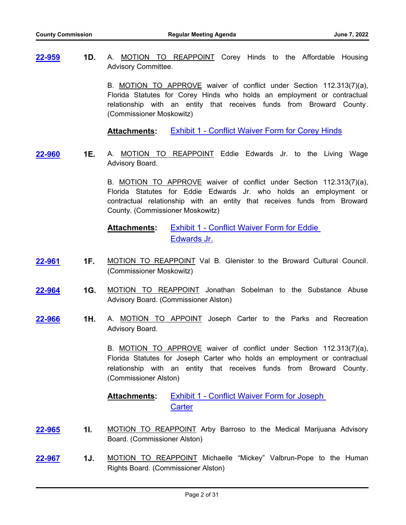**1D.** A. MOTION TO REAPPOINT Corey Hinds to the Affordable Housing Advisory Committee. **[22-959](http://broward.legistar.com/gateway.aspx?m=l&id=/matter.aspx?key=10463)**

> B. MOTION TO APPROVE waiver of conflict under Section 112.313(7)(a), Florida Statutes for Corey Hinds who holds an employment or contractual relationship with an entity that receives funds from Broward County. (Commissioner Moskowitz)

**Attachments:** [Exhibit 1 - Conflict Waiver Form for Corey Hinds](http://broward.legistar.com/gateway.aspx?M=F&ID=a88434ad-d45d-4195-9f52-9e453d5a1eaa.pdf)

- **[22-960](http://broward.legistar.com/gateway.aspx?m=l&id=/matter.aspx?key=10464)**
- **1E.** A. MOTION TO REAPPOINT Eddie Edwards Jr. to the Living Wage Advisory Board.

B. MOTION TO APPROVE waiver of conflict under Section 112.313(7)(a), Florida Statutes for Eddie Edwards Jr. who holds an employment or contractual relationship with an entity that receives funds from Broward County. (Commissioner Moskowitz)

[Exhibit 1 - Conflict Waiver Form for Eddie](http://broward.legistar.com/gateway.aspx?M=F&ID=2a41e009-90bb-472a-bbcb-91eb07a2f76a.pdf)  Edwards Jr. **Attachments:**

- **1F.** MOTION TO REAPPOINT Val B. Glenister to the Broward Cultural Council. (Commissioner Moskowitz) **[22-961](http://broward.legistar.com/gateway.aspx?m=l&id=/matter.aspx?key=10465)**
- **1G.** MOTION TO REAPPOINT Jonathan Sobelman to the Substance Abuse Advisory Board. (Commissioner Alston) **[22-964](http://broward.legistar.com/gateway.aspx?m=l&id=/matter.aspx?key=10468)**
- **1H.** A. MOTION TO APPOINT Joseph Carter to the Parks and Recreation Advisory Board. **[22-966](http://broward.legistar.com/gateway.aspx?m=l&id=/matter.aspx?key=10470)**

B. MOTION TO APPROVE waiver of conflict under Section 112.313(7)(a), Florida Statutes for Joseph Carter who holds an employment or contractual relationship with an entity that receives funds from Broward County. (Commissioner Alston)

[Exhibit 1 - Conflict Waiver Form for Joseph](http://broward.legistar.com/gateway.aspx?M=F&ID=eeedc32b-643b-4ab1-aa51-b942a363b66b.pdf)  **Carter Attachments:**

- **1I.** MOTION TO REAPPOINT Arby Barroso to the Medical Marijuana Advisory Board. (Commissioner Alston) **[22-965](http://broward.legistar.com/gateway.aspx?m=l&id=/matter.aspx?key=10469)**
- **1J.** MOTION TO REAPPOINT Michaelle "Mickey" Valbrun-Pope to the Human Rights Board. (Commissioner Alston) **[22-967](http://broward.legistar.com/gateway.aspx?m=l&id=/matter.aspx?key=10471)**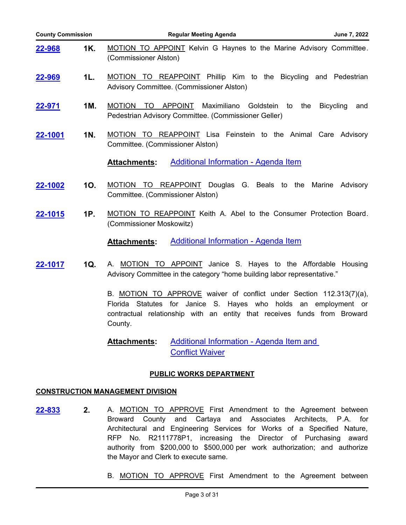| <b>County Commission</b> |                                                                                                                                                                                                                                | <b>Regular Meeting Agenda</b><br>June 7, 2022                                                                                                    |  |
|--------------------------|--------------------------------------------------------------------------------------------------------------------------------------------------------------------------------------------------------------------------------|--------------------------------------------------------------------------------------------------------------------------------------------------|--|
| <u>22-968</u>            | 1K.                                                                                                                                                                                                                            | <b>MOTION TO APPOINT Kelvin G Haynes to the Marine Advisory Committee.</b><br>(Commissioner Alston)                                              |  |
| 22-969                   | 1L.                                                                                                                                                                                                                            | MOTION TO REAPPOINT Phillip Kim to the Bicycling and Pedestrian<br>Advisory Committee. (Commissioner Alston)                                     |  |
| <u>22-971</u>            | 1M.                                                                                                                                                                                                                            | MOTION TO<br>APPOINT<br>Maximiliano<br>Goldstein<br><b>Bicycling</b><br>to<br>the<br>and<br>Pedestrian Advisory Committee. (Commissioner Geller) |  |
| 22-1001                  | 1N.                                                                                                                                                                                                                            | MOTION TO REAPPOINT Lisa Feinstein to the Animal Care Advisory<br>Committee. (Commissioner Alston)                                               |  |
|                          |                                                                                                                                                                                                                                | <b>Additional Information - Agenda Item</b><br><b>Attachments:</b>                                                                               |  |
| 22-1002                  | 10.                                                                                                                                                                                                                            | MOTION TO REAPPOINT Douglas G. Beals to the<br>Marine<br>Advisory<br>Committee. (Commissioner Alston)                                            |  |
| 22-1015                  | 1P.                                                                                                                                                                                                                            | MOTION TO REAPPOINT Keith A. Abel to the Consumer Protection Board.<br>(Commissioner Moskowitz)                                                  |  |
|                          |                                                                                                                                                                                                                                | <b>Additional Information - Agenda Item</b><br><b>Attachments:</b>                                                                               |  |
| 1Q.<br>22-1017           |                                                                                                                                                                                                                                | A. MOTION TO APPOINT Janice S. Hayes to the Affordable Housing<br>Advisory Committee in the category "home building labor representative."       |  |
|                          | B. MOTION TO APPROVE waiver of conflict under Section 112.313(7)(a),<br>Florida Statutes for Janice S. Hayes who holds an employment or<br>contractual relationship with an entity that receives funds from Broward<br>County. |                                                                                                                                                  |  |
|                          |                                                                                                                                                                                                                                | <b>Additional Information - Agenda Item and</b><br><b>Attachments:</b><br><b>Conflict Waiver</b>                                                 |  |

# **PUBLIC WORKS DEPARTMENT**

# **CONSTRUCTION MANAGEMENT DIVISION**

- **2.** A. MOTION TO APPROVE First Amendment to the Agreement between Broward County and Cartaya and Associates Architects, P.A. for Architectural and Engineering Services for Works of a Specified Nature, RFP No. R2111778P1, increasing the Director of Purchasing award authority from \$200,000 to \$500,000 per work authorization; and authorize the Mayor and Clerk to execute same. **[22-833](http://broward.legistar.com/gateway.aspx?m=l&id=/matter.aspx?key=10337)**
	- B. MOTION TO APPROVE First Amendment to the Agreement between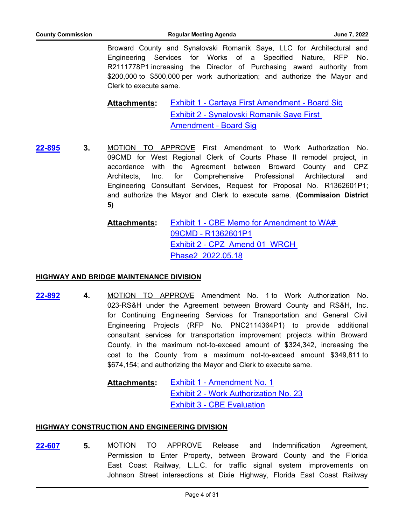Broward County and Synalovski Romanik Saye, LLC for Architectural and Engineering Services for Works of a Specified Nature, RFP No. R2111778P1 increasing the Director of Purchasing award authority from \$200,000 to \$500,000 per work authorization; and authorize the Mayor and Clerk to execute same.

## [Exhibit 1 - Cartaya First Amendment - Board Sig](http://broward.legistar.com/gateway.aspx?M=F&ID=171a0b52-bf58-4466-adf8-54cbc665b8c2.pdf) [Exhibit 2 - Synalovski Romanik Saye First](http://broward.legistar.com/gateway.aspx?M=F&ID=a8a0b958-99e3-48a3-ac52-ab6aed610547.pdf)  Amendment - Board Sig **Attachments:**

**3.** MOTION TO APPROVE First Amendment to Work Authorization No. 09CMD for West Regional Clerk of Courts Phase II remodel project, in accordance with the Agreement between Broward County and CPZ Architects, Inc. for Comprehensive Professional Architectural and Engineering Consultant Services, Request for Proposal No. R1362601P1; and authorize the Mayor and Clerk to execute same. **(Commission District 5) [22-895](http://broward.legistar.com/gateway.aspx?m=l&id=/matter.aspx?key=10399)**

# [Exhibit 1 - CBE Memo for Amendment to WA#](http://broward.legistar.com/gateway.aspx?M=F&ID=b0ded2ba-f8b9-4e9c-85d6-61d7841f3db7.pdf)  09CMD - R1362601P1 Exhibit 2 - CPZ Amend 01\_WRCH Phase2\_2022.05.18 **Attachments:**

# **HIGHWAY AND BRIDGE MAINTENANCE DIVISION**

- **4.** MOTION TO APPROVE Amendment No. 1 to Work Authorization No. 023-RS&H under the Agreement between Broward County and RS&H, Inc. for Continuing Engineering Services for Transportation and General Civil Engineering Projects (RFP No. PNC2114364P1) to provide additional consultant services for transportation improvement projects within Broward County, in the maximum not-to-exceed amount of \$324,342, increasing the cost to the County from a maximum not-to-exceed amount \$349,811 to \$674,154; and authorizing the Mayor and Clerk to execute same. **[22-892](http://broward.legistar.com/gateway.aspx?m=l&id=/matter.aspx?key=10396)**
	- [Exhibit 1 Amendment No. 1](http://broward.legistar.com/gateway.aspx?M=F&ID=6dc1c5c0-0f72-434d-becd-ea8f390a8e4f.pdf) [Exhibit 2 - Work Authorization No. 23](http://broward.legistar.com/gateway.aspx?M=F&ID=e58a88eb-b2d3-47cb-920a-57280729f523.pdf) [Exhibit 3 - CBE Evaluation](http://broward.legistar.com/gateway.aspx?M=F&ID=8a5d60bd-18f3-4c36-b90e-b25e86ecb66e.pdf) **Attachments:**

# **HIGHWAY CONSTRUCTION AND ENGINEERING DIVISION**

**5.** MOTION TO APPROVE Release and Indemnification Agreement, Permission to Enter Property, between Broward County and the Florida East Coast Railway, L.L.C. for traffic signal system improvements on Johnson Street intersections at Dixie Highway, Florida East Coast Railway **[22-607](http://broward.legistar.com/gateway.aspx?m=l&id=/matter.aspx?key=10110)**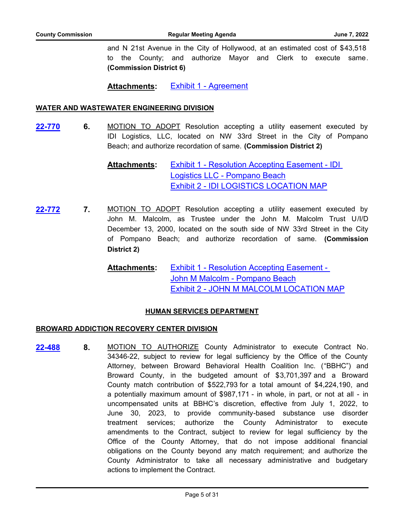and N 21st Avenue in the City of Hollywood, at an estimated cost of \$43,518 to the County; and authorize Mayor and Clerk to execute same. **(Commission District 6)**

**Attachments:** [Exhibit 1 - Agreement](http://broward.legistar.com/gateway.aspx?M=F&ID=d5c1ad4f-c483-4578-bdd7-7baa0b9643f8.pdf)

# **WATER AND WASTEWATER ENGINEERING DIVISION**

**6.** MOTION TO ADOPT Resolution accepting a utility easement executed by IDI Logistics, LLC, located on NW 33rd Street in the City of Pompano Beach; and authorize recordation of same. **(Commission District 2) [22-770](http://broward.legistar.com/gateway.aspx?m=l&id=/matter.aspx?key=10274)**

> [Exhibit 1 - Resolution Accepting Easement - IDI](http://broward.legistar.com/gateway.aspx?M=F&ID=5a927da4-5108-42e0-aab2-1f0e1f800040.pdf)  Logistics LLC - Pompano Beach [Exhibit 2 - IDI LOGISTICS LOCATION MAP](http://broward.legistar.com/gateway.aspx?M=F&ID=08344f93-f029-4a8a-8478-11d7085e1325.pdf) **Attachments:**

- **7.** MOTION TO ADOPT Resolution accepting a utility easement executed by John M. Malcolm, as Trustee under the John M. Malcolm Trust U/I/D December 13, 2000, located on the south side of NW 33rd Street in the City of Pompano Beach; and authorize recordation of same. **(Commission District 2) [22-772](http://broward.legistar.com/gateway.aspx?m=l&id=/matter.aspx?key=10276)**
	- [Exhibit 1 Resolution Accepting Easement](http://broward.legistar.com/gateway.aspx?M=F&ID=e82fa11b-a2fc-41c1-a614-410c3345d05f.pdf)  John M Malcolm - Pompano Beach [Exhibit 2 - JOHN M MALCOLM LOCATION MAP](http://broward.legistar.com/gateway.aspx?M=F&ID=92b27052-f9ca-414e-af5b-c1cc1e09cdc3.pdf) **Attachments:**

# **HUMAN SERVICES DEPARTMENT**

# **BROWARD ADDICTION RECOVERY CENTER DIVISION**

**8.** MOTION TO AUTHORIZE County Administrator to execute Contract No. 34346-22, subject to review for legal sufficiency by the Office of the County Attorney, between Broward Behavioral Health Coalition Inc. ("BBHC") and Broward County, in the budgeted amount of \$3,701,397 and a Broward County match contribution of \$522,793 for a total amount of \$4,224,190, and a potentially maximum amount of \$987,171 - in whole, in part, or not at all - in uncompensated units at BBHC's discretion, effective from July 1, 2022, to June 30, 2023, to provide community-based substance use disorder treatment services; authorize the County Administrator to execute amendments to the Contract, subject to review for legal sufficiency by the Office of the County Attorney, that do not impose additional financial obligations on the County beyond any match requirement; and authorize the County Administrator to take all necessary administrative and budgetary actions to implement the Contract. **[22-488](http://broward.legistar.com/gateway.aspx?m=l&id=/matter.aspx?key=9991)**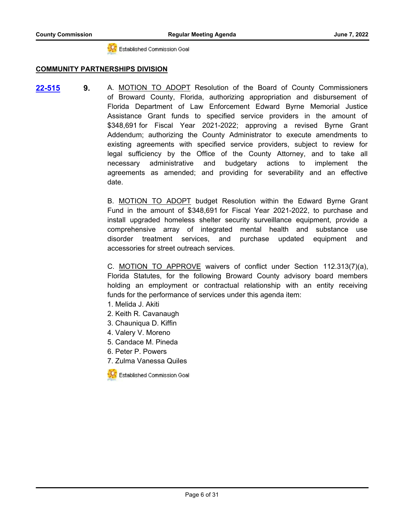-C. Established Commission Goal

# **COMMUNITY PARTNERSHIPS DIVISION**

**9.** A. MOTION TO ADOPT Resolution of the Board of County Commissioners of Broward County, Florida, authorizing appropriation and disbursement of Florida Department of Law Enforcement Edward Byrne Memorial Justice Assistance Grant funds to specified service providers in the amount of \$348,691 for Fiscal Year 2021-2022; approving a revised Byrne Grant Addendum; authorizing the County Administrator to execute amendments to existing agreements with specified service providers, subject to review for legal sufficiency by the Office of the County Attorney, and to take all necessary administrative and budgetary actions to implement the agreements as amended; and providing for severability and an effective date. **[22-515](http://broward.legistar.com/gateway.aspx?m=l&id=/matter.aspx?key=10018)**

> B. MOTION TO ADOPT budget Resolution within the Edward Byrne Grant Fund in the amount of \$348,691 for Fiscal Year 2021-2022, to purchase and install upgraded homeless shelter security surveillance equipment, provide a comprehensive array of integrated mental health and substance use disorder treatment services, and purchase updated equipment and accessories for street outreach services.

> C. MOTION TO APPROVE waivers of conflict under Section 112.313(7)(a), Florida Statutes, for the following Broward County advisory board members holding an employment or contractual relationship with an entity receiving funds for the performance of services under this agenda item:

- 1. Melida J. Akiti
- 2. Keith R. Cavanaugh
- 3. Chauniqua D. Kiffin
- 4. Valery V. Moreno
- 5. Candace M. Pineda
- 6. Peter P. Powers
- 7. Zulma Vanessa Quiles

Established Commission Goal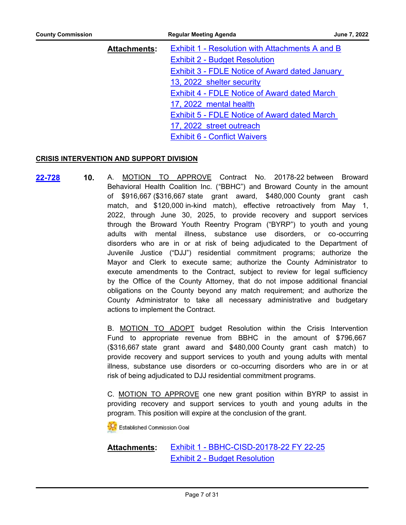| <b>County Commission</b> |                     | <b>Regular Meeting Agenda</b>                         | June 7, 2022 |
|--------------------------|---------------------|-------------------------------------------------------|--------------|
|                          | <b>Attachments:</b> | Exhibit 1 - Resolution with Attachments A and B       |              |
|                          |                     | <b>Exhibit 2 - Budget Resolution</b>                  |              |
|                          |                     | <b>Exhibit 3 - FDLE Notice of Award dated January</b> |              |
|                          |                     | 13, 2022 shelter security                             |              |
|                          |                     | <b>Exhibit 4 - FDLE Notice of Award dated March</b>   |              |
|                          |                     | 17, 2022 mental health                                |              |
|                          |                     | <b>Exhibit 5 - FDLE Notice of Award dated March</b>   |              |
|                          |                     | 17, 2022 street outreach                              |              |

# [Exhibit 6 - Conflict Waivers](http://broward.legistar.com/gateway.aspx?M=F&ID=24c1000b-2c13-432f-9b77-079111dce9cc.pdf)

# **CRISIS INTERVENTION AND SUPPORT DIVISION**

**10.** A. MOTION TO APPROVE Contract No. 20178-22 between Broward Behavioral Health Coalition Inc. ("BBHC") and Broward County in the amount of \$916,667 (\$316,667 state grant award, \$480,000 County grant cash match, and \$120,000 in-kind match), effective retroactively from May 1, 2022, through June 30, 2025, to provide recovery and support services through the Broward Youth Reentry Program ("BYRP") to youth and young adults with mental illness, substance use disorders, or co-occurring disorders who are in or at risk of being adjudicated to the Department of Juvenile Justice ("DJJ") residential commitment programs; authorize the Mayor and Clerk to execute same; authorize the County Administrator to execute amendments to the Contract, subject to review for legal sufficiency by the Office of the County Attorney, that do not impose additional financial obligations on the County beyond any match requirement; and authorize the County Administrator to take all necessary administrative and budgetary actions to implement the Contract. **[22-728](http://broward.legistar.com/gateway.aspx?m=l&id=/matter.aspx?key=10232)**

> B. MOTION TO ADOPT budget Resolution within the Crisis Intervention Fund to appropriate revenue from BBHC in the amount of \$796,667 (\$316,667 state grant award and \$480,000 County grant cash match) to provide recovery and support services to youth and young adults with mental illness, substance use disorders or co-occurring disorders who are in or at risk of being adjudicated to DJJ residential commitment programs.

> C. MOTION TO APPROVE one new grant position within BYRP to assist in providing recovery and support services to youth and young adults in the program. This position will expire at the conclusion of the grant.

**CC** Established Commission Goal

[Exhibit 1 - BBHC-CISD-20178-22 FY 22-25](http://broward.legistar.com/gateway.aspx?M=F&ID=d12994a2-18d5-4c9d-bd3e-9ab9226763d2.pdf) [Exhibit 2 - Budget Resolution](http://broward.legistar.com/gateway.aspx?M=F&ID=99091845-ab62-4724-bb28-e4e7a7822287.pdf) **Attachments:**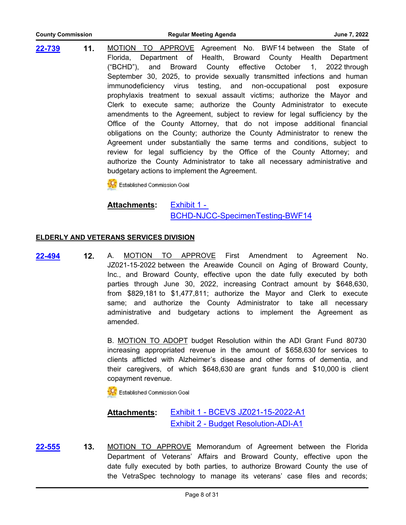| County Commission |  |
|-------------------|--|
|                   |  |

**11.** MOTION TO APPROVE Agreement No. BWF14 between the State of Florida, Department of Health, Broward County Health Department ("BCHD"), and Broward County effective October 1, 2022 through September 30, 2025, to provide sexually transmitted infections and human immunodeficiency virus testing, and non-occupational post exposure prophylaxis treatment to sexual assault victims; authorize the Mayor and Clerk to execute same; authorize the County Administrator to execute amendments to the Agreement, subject to review for legal sufficiency by the Office of the County Attorney, that do not impose additional financial obligations on the County; authorize the County Administrator to renew the Agreement under substantially the same terms and conditions, subject to review for legal sufficiency by the Office of the County Attorney; and authorize the County Administrator to take all necessary administrative and budgetary actions to implement the Agreement. **[22-739](http://broward.legistar.com/gateway.aspx?m=l&id=/matter.aspx?key=10243)**

Established Commission Goal

**Attachments:**

Exhibit 1 - [BCHD-NJCC-SpecimenTesting-BWF14](http://broward.legistar.com/gateway.aspx?M=F&ID=3e6bb14b-8a7a-4226-b576-71bbbb95a0dd.pdf)

# **ELDERLY AND VETERANS SERVICES DIVISION**

**12.** A. MOTION TO APPROVE First Amendment to Agreement No. JZ021-15-2022 between the Areawide Council on Aging of Broward County, Inc., and Broward County, effective upon the date fully executed by both parties through June 30, 2022, increasing Contract amount by \$648,630, from \$829,181 to \$1,477,811; authorize the Mayor and Clerk to execute same; and authorize the County Administrator to take all necessary administrative and budgetary actions to implement the Agreement as amended. **[22-494](http://broward.legistar.com/gateway.aspx?m=l&id=/matter.aspx?key=9997)**

> B. MOTION TO ADOPT budget Resolution within the ADI Grant Fund 80730 increasing appropriated revenue in the amount of \$658,630 for services to clients afflicted with Alzheimer's disease and other forms of dementia, and their caregivers, of which \$648,630 are grant funds and \$10,000 is client copayment revenue.

Established Commission Goal

#### [Exhibit 1 - BCEVS JZ021-15-2022-A1](http://broward.legistar.com/gateway.aspx?M=F&ID=fe1d1bd5-4bbf-48bc-a50e-e17c303425ac.pdf) [Exhibit 2 - Budget Resolution-ADI-A1](http://broward.legistar.com/gateway.aspx?M=F&ID=d829bac8-52b3-4ec0-9b8d-8f47a1c068c8.pdf) **Attachments:**

**13.** MOTION TO APPROVE Memorandum of Agreement between the Florida Department of Veterans' Affairs and Broward County, effective upon the date fully executed by both parties, to authorize Broward County the use of the VetraSpec technology to manage its veterans' case files and records; **[22-555](http://broward.legistar.com/gateway.aspx?m=l&id=/matter.aspx?key=10058)**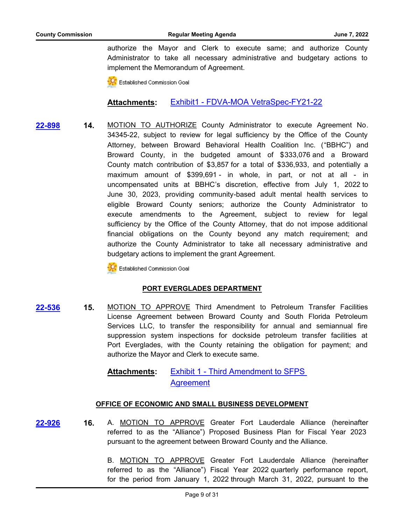authorize the Mayor and Clerk to execute same; and authorize County Administrator to take all necessary administrative and budgetary actions to implement the Memorandum of Agreement.

Established Commission Goal

**Attachments:** [Exhibit1 - FDVA-MOA VetraSpec-FY21-22](http://broward.legistar.com/gateway.aspx?M=F&ID=2f223554-fbc3-4265-ac89-3214feafb92d.pdf)

**14.** MOTION TO AUTHORIZE County Administrator to execute Agreement No. 34345-22, subject to review for legal sufficiency by the Office of the County Attorney, between Broward Behavioral Health Coalition Inc. ("BBHC") and Broward County, in the budgeted amount of \$333,076 and a Broward County match contribution of \$3,857 for a total of \$336,933, and potentially a maximum amount of \$399,691 - in whole, in part, or not at all - in uncompensated units at BBHC's discretion, effective from July 1, 2022 to June 30, 2023, providing community-based adult mental health services to eligible Broward County seniors; authorize the County Administrator to execute amendments to the Agreement, subject to review for legal sufficiency by the Office of the County Attorney, that do not impose additional financial obligations on the County beyond any match requirement; and authorize the County Administrator to take all necessary administrative and budgetary actions to implement the grant Agreement. **[22-898](http://broward.legistar.com/gateway.aspx?m=l&id=/matter.aspx?key=10402)**

**CC** Established Commission Goal

# **PORT EVERGLADES DEPARTMENT**

**15.** MOTION TO APPROVE Third Amendment to Petroleum Transfer Facilities License Agreement between Broward County and South Florida Petroleum Services LLC, to transfer the responsibility for annual and semiannual fire suppression system inspections for dockside petroleum transfer facilities at Port Everglades, with the County retaining the obligation for payment; and authorize the Mayor and Clerk to execute same. **[22-536](http://broward.legistar.com/gateway.aspx?m=l&id=/matter.aspx?key=10039)**

> [Exhibit 1 - Third Amendment to SFPS](http://broward.legistar.com/gateway.aspx?M=F&ID=03463c65-2be2-43d0-a879-88786de1b1fd.pdf)  Agreement **Attachments:**

# **OFFICE OF ECONOMIC AND SMALL BUSINESS DEVELOPMENT**

**16.** A. MOTION TO APPROVE Greater Fort Lauderdale Alliance (hereinafter referred to as the "Alliance") Proposed Business Plan for Fiscal Year 2023 pursuant to the agreement between Broward County and the Alliance. **[22-926](http://broward.legistar.com/gateway.aspx?m=l&id=/matter.aspx?key=10430)**

> B. MOTION TO APPROVE Greater Fort Lauderdale Alliance (hereinafter referred to as the "Alliance") Fiscal Year 2022 quarterly performance report, for the period from January 1, 2022 through March 31, 2022, pursuant to the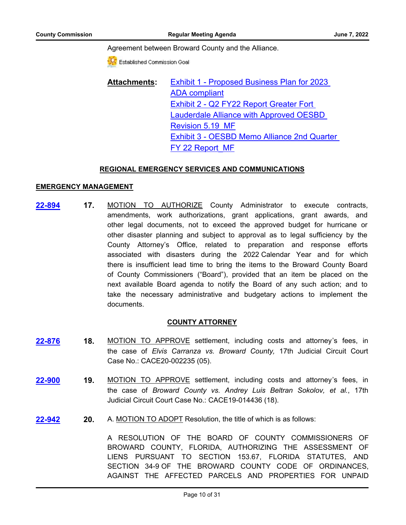## Agreement between Broward County and the Alliance.

Established Commission Goal

[Exhibit 1 - Proposed Business Plan for 2023](http://broward.legistar.com/gateway.aspx?M=F&ID=5330ae42-a648-467b-8206-80069257630e.pdf)  ADA compliant Exhibit 2 - Q2 FY22 Report Greater Fort [Lauderdale Alliance with Approved OESBD](http://broward.legistar.com/gateway.aspx?M=F&ID=9a24c62c-8460-4c88-b42a-e56221816785.pdf)  Revision 5.19\_MF [Exhibit 3 - OESBD Memo Alliance 2nd Quarter](http://broward.legistar.com/gateway.aspx?M=F&ID=0f713795-79d8-4804-824d-0097833a45c7.pdf)  FY 22 Report\_MF **Attachments:**

# **REGIONAL EMERGENCY SERVICES AND COMMUNICATIONS**

## **EMERGENCY MANAGEMENT**

**17.** MOTION TO AUTHORIZE County Administrator to execute contracts, amendments, work authorizations, grant applications, grant awards, and other legal documents, not to exceed the approved budget for hurricane or other disaster planning and subject to approval as to legal sufficiency by the County Attorney's Office, related to preparation and response efforts associated with disasters during the 2022 Calendar Year and for which there is insufficient lead time to bring the items to the Broward County Board of County Commissioners ("Board"), provided that an item be placed on the next available Board agenda to notify the Board of any such action; and to take the necessary administrative and budgetary actions to implement the documents. **[22-894](http://broward.legistar.com/gateway.aspx?m=l&id=/matter.aspx?key=10398)**

# **COUNTY ATTORNEY**

- **18.** MOTION TO APPROVE settlement, including costs and attorney's fees, in the case of *Elvis Carranza vs. Broward County,* 17th Judicial Circuit Court Case No.: CACE20-002235 (05). **[22-876](http://broward.legistar.com/gateway.aspx?m=l&id=/matter.aspx?key=10380)**
- **19.** MOTION TO APPROVE settlement, including costs and attorney's fees, in the case of *Broward County vs. Andrey Luis Beltran Sokolov, et al.*, 17th Judicial Circuit Court Case No.: CACE19-014436 (18). **[22-900](http://broward.legistar.com/gateway.aspx?m=l&id=/matter.aspx?key=10404)**
- **20.** A. MOTION TO ADOPT Resolution, the title of which is as follows: **[22-942](http://broward.legistar.com/gateway.aspx?m=l&id=/matter.aspx?key=10446)**

A RESOLUTION OF THE BOARD OF COUNTY COMMISSIONERS OF BROWARD COUNTY, FLORIDA, AUTHORIZING THE ASSESSMENT OF LIENS PURSUANT TO SECTION 153.67, FLORIDA STATUTES, AND SECTION 34-9 OF THE BROWARD COUNTY CODE OF ORDINANCES, AGAINST THE AFFECTED PARCELS AND PROPERTIES FOR UNPAID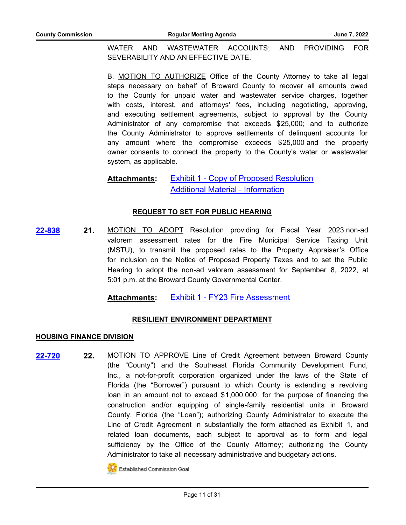WATER AND WASTEWATER ACCOUNTS; AND PROVIDING FOR SEVERABILITY AND AN EFFECTIVE DATE.

B. MOTION TO AUTHORIZE Office of the County Attorney to take all legal steps necessary on behalf of Broward County to recover all amounts owed to the County for unpaid water and wastewater service charges, together with costs, interest, and attorneys' fees, including negotiating, approving, and executing settlement agreements, subject to approval by the County Administrator of any compromise that exceeds \$25,000; and to authorize the County Administrator to approve settlements of delinquent accounts for any amount where the compromise exceeds \$25,000 and the property owner consents to connect the property to the County's water or wastewater system, as applicable.

#### [Exhibit 1 - Copy of Proposed Resolution](http://broward.legistar.com/gateway.aspx?M=F&ID=dda1cbf6-84cd-437e-8837-41fe74e6b616.pdf) [Additional Material - Information](http://broward.legistar.com/gateway.aspx?M=F&ID=e8eb4850-5e25-449d-9a4f-d4c7cde5344c.pdf) **Attachments:**

# **REQUEST TO SET FOR PUBLIC HEARING**

**21.** MOTION TO ADOPT Resolution providing for Fiscal Year 2023 non-ad valorem assessment rates for the Fire Municipal Service Taxing Unit (MSTU), to transmit the proposed rates to the Property Appraiser's Office for inclusion on the Notice of Proposed Property Taxes and to set the Public Hearing to adopt the non-ad valorem assessment for September 8, 2022, at 5:01 p.m. at the Broward County Governmental Center. **[22-838](http://broward.legistar.com/gateway.aspx?m=l&id=/matter.aspx?key=10342)**

**Attachments:** [Exhibit 1 - FY23 Fire Assessment](http://broward.legistar.com/gateway.aspx?M=F&ID=da411fb0-e149-43ec-81f0-edfcd68067f6.pdf)

# **RESILIENT ENVIRONMENT DEPARTMENT**

# **HOUSING FINANCE DIVISION**

**22.** MOTION TO APPROVE Line of Credit Agreement between Broward County (the "County") and the Southeast Florida Community Development Fund, Inc., a not-for-profit corporation organized under the laws of the State of Florida (the "Borrower") pursuant to which County is extending a revolving loan in an amount not to exceed \$1,000,000; for the purpose of financing the construction and/or equipping of single-family residential units in Broward County, Florida (the "Loan"); authorizing County Administrator to execute the Line of Credit Agreement in substantially the form attached as Exhibit 1, and related loan documents, each subject to approval as to form and legal sufficiency by the Office of the County Attorney; authorizing the County Administrator to take all necessary administrative and budgetary actions. **[22-720](http://broward.legistar.com/gateway.aspx?m=l&id=/matter.aspx?key=10224)**



**ICC** Established Commission Goal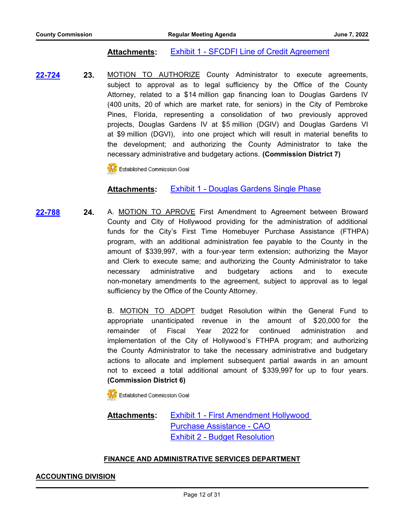# **Attachments:** [Exhibit 1 - SFCDFI Line of Credit Agreement](http://broward.legistar.com/gateway.aspx?M=F&ID=b192949c-3d6d-4f81-aade-13150986ce9e.pdf)

**23.** MOTION TO AUTHORIZE County Administrator to execute agreements, subject to approval as to legal sufficiency by the Office of the County Attorney, related to a \$14 million gap financing loan to Douglas Gardens IV (400 units, 20 of which are market rate, for seniors) in the City of Pembroke Pines, Florida, representing a consolidation of two previously approved projects, Douglas Gardens IV at \$5 million (DGIV) and Douglas Gardens VI at \$9 million (DGVI), into one project which will result in material benefits to the development; and authorizing the County Administrator to take the necessary administrative and budgetary actions. **(Commission District 7) [22-724](http://broward.legistar.com/gateway.aspx?m=l&id=/matter.aspx?key=10228)**

Established Commission Goal

# **Attachments:** [Exhibit 1 - Douglas Gardens Single Phase](http://broward.legistar.com/gateway.aspx?M=F&ID=49a1aa7c-2a89-4315-ae46-242e831220a6.pdf)

**24.** A. MOTION TO APROVE First Amendment to Agreement between Broward County and City of Hollywood providing for the administration of additional funds for the City's First Time Homebuyer Purchase Assistance (FTHPA) program, with an additional administration fee payable to the County in the amount of \$339,997, with a four-year term extension; authorizing the Mayor and Clerk to execute same; and authorizing the County Administrator to take necessary administrative and budgetary actions and to execute non-monetary amendments to the agreement, subject to approval as to legal sufficiency by the Office of the County Attorney. **[22-788](http://broward.legistar.com/gateway.aspx?m=l&id=/matter.aspx?key=10292)**

> B. MOTION TO ADOPT budget Resolution within the General Fund to appropriate unanticipated revenue in the amount of \$20,000 for the remainder of Fiscal Year 2022 for continued administration and implementation of the City of Hollywood's FTHPA program; and authorizing the County Administrator to take the necessary administrative and budgetary actions to allocate and implement subsequent partial awards in an amount not to exceed a total additional amount of \$339,997 for up to four years. **(Commission District 6)**

Established Commission Goal

## [Exhibit 1 - First Amendment Hollywood](http://broward.legistar.com/gateway.aspx?M=F&ID=bba8d293-eee6-4519-b5b7-a06d2da4dbf6.pdf)  Purchase Assistance - CAO [Exhibit 2 - Budget Resolution](http://broward.legistar.com/gateway.aspx?M=F&ID=f402346c-4279-4ed0-b973-42456d03c241.pdf) **Attachments:**

# **FINANCE AND ADMINISTRATIVE SERVICES DEPARTMENT**

## **ACCOUNTING DIVISION**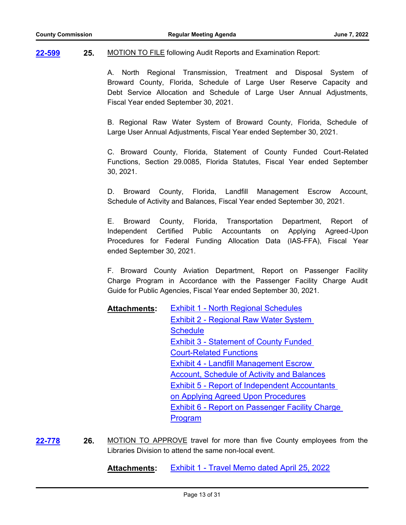**25.** MOTION TO FILE following Audit Reports and Examination Report: **[22-599](http://broward.legistar.com/gateway.aspx?m=l&id=/matter.aspx?key=10102)**

> A. North Regional Transmission, Treatment and Disposal System of Broward County, Florida, Schedule of Large User Reserve Capacity and Debt Service Allocation and Schedule of Large User Annual Adjustments, Fiscal Year ended September 30, 2021.

> B. Regional Raw Water System of Broward County, Florida, Schedule of Large User Annual Adjustments, Fiscal Year ended September 30, 2021.

> C. Broward County, Florida, Statement of County Funded Court-Related Functions, Section 29.0085, Florida Statutes, Fiscal Year ended September 30, 2021.

> D. Broward County, Florida, Landfill Management Escrow Account, Schedule of Activity and Balances, Fiscal Year ended September 30, 2021.

> E. Broward County, Florida, Transportation Department, Report of Independent Certified Public Accountants on Applying Agreed-Upon Procedures for Federal Funding Allocation Data (IAS-FFA), Fiscal Year ended September 30, 2021.

> F. Broward County Aviation Department, Report on Passenger Facility Charge Program in Accordance with the Passenger Facility Charge Audit Guide for Public Agencies, Fiscal Year ended September 30, 2021.

- [Exhibit 1 North Regional Schedules](http://broward.legistar.com/gateway.aspx?M=F&ID=1f39f987-86d3-4234-bdca-9cafb1e732cb.pdf) [Exhibit 2 - Regional Raw Water System](http://broward.legistar.com/gateway.aspx?M=F&ID=c52411bc-7b21-4ffd-adec-69059cf05671.pdf)  **Schedule** [Exhibit 3 - Statement of County Funded](http://broward.legistar.com/gateway.aspx?M=F&ID=5aa31be0-c172-4bd5-955a-f3b7f8a01b93.pdf)  Court-Related Functions Exhibit 4 - Landfill Management Escrow [Account, Schedule of Activity and Balances](http://broward.legistar.com/gateway.aspx?M=F&ID=12b52ba4-7188-4da5-b2e2-43a979b559ab.pdf) [Exhibit 5 - Report of Independent Accountants](http://broward.legistar.com/gateway.aspx?M=F&ID=15b1b3b8-80bc-43e6-a016-993ec341b2dc.pdf)  on Applying Agreed Upon Procedures [Exhibit 6 - Report on Passenger Facility Charge](http://broward.legistar.com/gateway.aspx?M=F&ID=b8aa7274-2c29-4d49-9f2c-64e3654ff91a.pdf)  Program **Attachments:**
- **26.** MOTION TO APPROVE travel for more than five County employees from the Libraries Division to attend the same non-local event. **[22-778](http://broward.legistar.com/gateway.aspx?m=l&id=/matter.aspx?key=10282)**

**Attachments:** [Exhibit 1 - Travel Memo dated April 25, 2022](http://broward.legistar.com/gateway.aspx?M=F&ID=fff890d5-df82-4f9e-8603-a1e75e7b1765.pdf)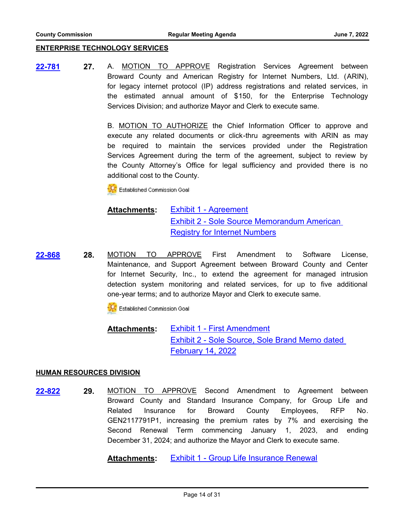## **ENTERPRISE TECHNOLOGY SERVICES**

**27.** A. MOTION TO APPROVE Registration Services Agreement between Broward County and American Registry for Internet Numbers, Ltd. (ARIN), for legacy internet protocol (IP) address registrations and related services, in the estimated annual amount of \$150, for the Enterprise Technology Services Division; and authorize Mayor and Clerk to execute same. **[22-781](http://broward.legistar.com/gateway.aspx?m=l&id=/matter.aspx?key=10285)**

> B. MOTION TO AUTHORIZE the Chief Information Officer to approve and execute any related documents or click-thru agreements with ARIN as may be required to maintain the services provided under the Registration Services Agreement during the term of the agreement, subject to review by the County Attorney's Office for legal sufficiency and provided there is no additional cost to the County.

**CC** Established Commission Goal

### [Exhibit 1 - Agreement](http://broward.legistar.com/gateway.aspx?M=F&ID=e67ba76b-1256-43bd-b692-784c742779ce.pdf) [Exhibit 2 - Sole Source Memorandum American](http://broward.legistar.com/gateway.aspx?M=F&ID=6578ea77-72d5-4811-9569-f68aba1dc409.pdf)  Registry for Internet Numbers **Attachments:**

**28.** MOTION TO APPROVE First Amendment to Software License, Maintenance, and Support Agreement between Broward County and Center for Internet Security, Inc., to extend the agreement for managed intrusion detection system monitoring and related services, for up to five additional one-year terms; and to authorize Mayor and Clerk to execute same. **[22-868](http://broward.legistar.com/gateway.aspx?m=l&id=/matter.aspx?key=10372)**

Established Commission Goal

[Exhibit 1 - First Amendment](http://broward.legistar.com/gateway.aspx?M=F&ID=57701859-8abf-4e5d-9b50-e96053232f44.pdf) [Exhibit 2 - Sole Source, Sole Brand Memo dated](http://broward.legistar.com/gateway.aspx?M=F&ID=2b3c0df2-2b6a-44cf-a3b1-196d89bbf5b4.pdf)  February 14, 2022 **Attachments:**

## **HUMAN RESOURCES DIVISION**

**29.** MOTION TO APPROVE Second Amendment to Agreement between Broward County and Standard Insurance Company, for Group Life and Related Insurance for Broward County Employees, RFP No. GEN2117791P1, increasing the premium rates by 7% and exercising the Second Renewal Term commencing January 1, 2023, and ending December 31, 2024; and authorize the Mayor and Clerk to execute same. **[22-822](http://broward.legistar.com/gateway.aspx?m=l&id=/matter.aspx?key=10326)**

**Attachments:** [Exhibit 1 - Group Life Insurance Renewal](http://broward.legistar.com/gateway.aspx?M=F&ID=d0723bce-0fd5-4b53-b96a-2ef3be864018.pdf)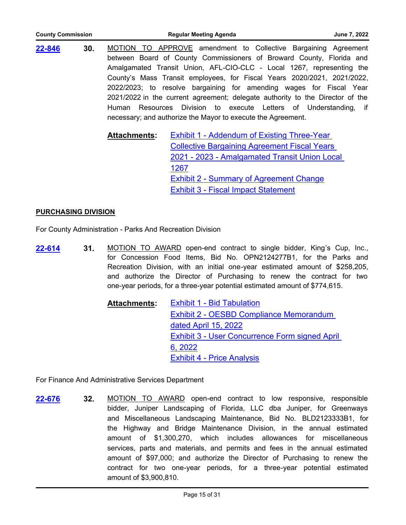| <b>County Commission</b> |     |                     | <b>Regular Meeting Agenda</b>                                                                                                                                                                                                                                                                                                                                                                                                                                                                                                                                                                                                                                                                                                                                                                                                                                | June 7, 2022 |
|--------------------------|-----|---------------------|--------------------------------------------------------------------------------------------------------------------------------------------------------------------------------------------------------------------------------------------------------------------------------------------------------------------------------------------------------------------------------------------------------------------------------------------------------------------------------------------------------------------------------------------------------------------------------------------------------------------------------------------------------------------------------------------------------------------------------------------------------------------------------------------------------------------------------------------------------------|--------------|
| 22-846                   | 30. | <b>Attachments:</b> | MOTION TO APPROVE amendment to Collective Bargaining Agreement<br>between Board of County Commissioners of Broward County, Florida and<br>Amalgamated Transit Union, AFL-CIO-CLC - Local 1267, representing the<br>County's Mass Transit employees, for Fiscal Years 2020/2021, 2021/2022,<br>2022/2023; to resolve bargaining for amending wages for Fiscal Year<br>2021/2022 in the current agreement; delegate authority to the Director of the<br>Human Resources Division to execute Letters of Understanding, if<br>necessary; and authorize the Mayor to execute the Agreement.<br><b>Exhibit 1 - Addendum of Existing Three-Year</b><br><b>Collective Bargaining Agreement Fiscal Years</b><br>2021 - 2023 - Amalgamated Transit Union Local<br>1267<br><b>Exhibit 2 - Summary of Agreement Change</b><br><b>Exhibit 3 - Fiscal Impact Statement</b> |              |
|                          |     |                     |                                                                                                                                                                                                                                                                                                                                                                                                                                                                                                                                                                                                                                                                                                                                                                                                                                                              |              |

# **PURCHASING DIVISION**

For County Administration - Parks And Recreation Division

**31.** MOTION TO AWARD open-end contract to single bidder, King's Cup, Inc., for Concession Food Items, Bid No. OPN2124277B1, for the Parks and Recreation Division, with an initial one-year estimated amount of \$258,205, and authorize the Director of Purchasing to renew the contract for two one-year periods, for a three-year potential estimated amount of \$774,615. **[22-614](http://broward.legistar.com/gateway.aspx?m=l&id=/matter.aspx?key=10117)**

| Attachments: | <b>Exhibit 1 - Bid Tabulation</b>              |
|--------------|------------------------------------------------|
|              | Exhibit 2 - OESBD Compliance Memorandum        |
|              | dated April 15, 2022                           |
|              | Exhibit 3 - User Concurrence Form signed April |
|              | 6, 2022                                        |
|              | <b>Exhibit 4 - Price Analysis</b>              |

For Finance And Administrative Services Department

**32.** MOTION TO AWARD open-end contract to low responsive, responsible bidder, Juniper Landscaping of Florida, LLC dba Juniper, for Greenways and Miscellaneous Landscaping Maintenance, Bid No. BLD2123333B1, for the Highway and Bridge Maintenance Division, in the annual estimated amount of \$1,300,270, which includes allowances for miscellaneous services, parts and materials, and permits and fees in the annual estimated amount of \$97,000; and authorize the Director of Purchasing to renew the contract for two one-year periods, for a three-year potential estimated amount of \$3,900,810. **[22-676](http://broward.legistar.com/gateway.aspx?m=l&id=/matter.aspx?key=10179)**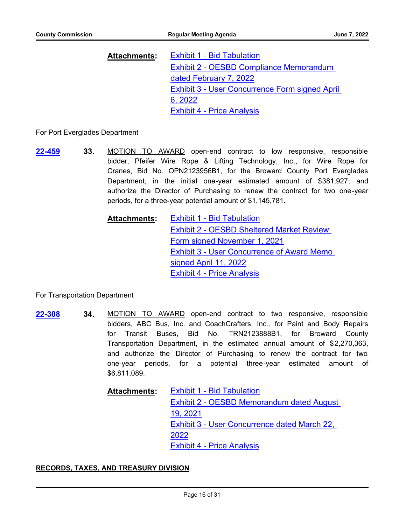| <u> Attachments:</u> | <b>Exhibit 1 - Bid Tabulation</b>              |
|----------------------|------------------------------------------------|
|                      | Exhibit 2 - OESBD Compliance Memorandum        |
|                      | dated February 7, 2022                         |
|                      | Exhibit 3 - User Concurrence Form signed April |
|                      | 6, 2022                                        |
|                      | <b>Exhibit 4 - Price Analysis</b>              |

For Port Everglades Department

**33.** MOTION TO AWARD open-end contract to low responsive, responsible bidder, Pfeifer Wire Rope & Lifting Technology, Inc., for Wire Rope for Cranes, Bid No. OPN2123956B1, for the Broward County Port Everglades Department, in the initial one-year estimated amount of \$381,927; and authorize the Director of Purchasing to renew the contract for two one-year periods, for a three-year potential amount of \$1,145,781. **[22-459](http://broward.legistar.com/gateway.aspx?m=l&id=/matter.aspx?key=9962)**

> [Exhibit 1 - Bid Tabulation](http://broward.legistar.com/gateway.aspx?M=F&ID=01cd11e8-1286-4542-a519-419479532f12.pdf) [Exhibit 2 - OESBD Sheltered Market Review](http://broward.legistar.com/gateway.aspx?M=F&ID=2d8d6a46-3fdf-42a8-865c-a9f8f74aafde.pdf)  Form signed November 1, 2021 [Exhibit 3 - User Concurrence of Award Memo](http://broward.legistar.com/gateway.aspx?M=F&ID=0fb3b3c7-3f04-4a44-8bda-5601f89645ee.pdf)  signed April 11, 2022 [Exhibit 4 - Price Analysis](http://broward.legistar.com/gateway.aspx?M=F&ID=4e7fd4ba-3e55-456f-a742-4d92de2f92be.pdf) **Attachments:**

For Transportation Department

**34.** MOTION TO AWARD open-end contract to two responsive, responsible bidders, ABC Bus, Inc. and CoachCrafters, Inc., for Paint and Body Repairs for Transit Buses, Bid No. TRN2123888B1, for Broward County Transportation Department, in the estimated annual amount of \$2,270,363, and authorize the Director of Purchasing to renew the contract for two one-year periods, for a potential three-year estimated amount of \$6,811,089. **[22-308](http://broward.legistar.com/gateway.aspx?m=l&id=/matter.aspx?key=9811)**

# [Exhibit 1 - Bid Tabulation](http://broward.legistar.com/gateway.aspx?M=F&ID=d176fa5c-96ed-46e4-91db-6b8c9d599c56.pdf) [Exhibit 2 - OESBD Memorandum dated August](http://broward.legistar.com/gateway.aspx?M=F&ID=ef4994fa-f258-46c2-94ed-459121f34eec.pdf)  19, 2021 [Exhibit 3 - User Concurrence dated March 22,](http://broward.legistar.com/gateway.aspx?M=F&ID=0b0c5870-a367-4734-9d9d-0b228d776448.pdf)  2022 [Exhibit 4 - Price Analysis](http://broward.legistar.com/gateway.aspx?M=F&ID=49cefb46-fbcd-4ecc-97a3-db4b89177ebd.pdf) **Attachments:**

# **RECORDS, TAXES, AND TREASURY DIVISION**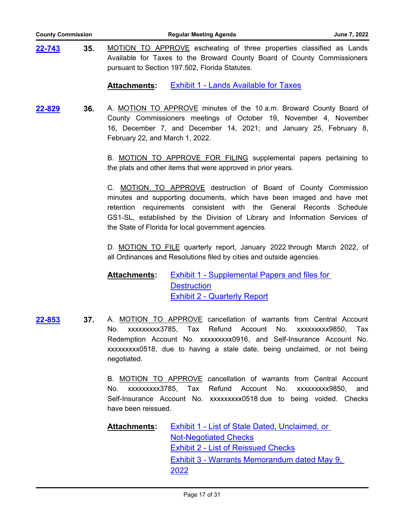| <b>County Commission</b> |     | <b>Regular Meeting Agenda</b>                                                                                                                                                                     |  |
|--------------------------|-----|---------------------------------------------------------------------------------------------------------------------------------------------------------------------------------------------------|--|
| 22-743                   | 35. | MOTION TO APPROVE escheating of three properties classified as Lands<br>Available for Taxes to the Broward County Board of County Commissioners<br>pursuant to Section 197.502, Florida Statutes. |  |
|                          |     | <b>Exhibit 1 - Lands Available for Taxes</b><br><b>Attachments:</b>                                                                                                                               |  |

**36.** A. MOTION TO APPROVE minutes of the 10 a.m. Broward County Board of County Commissioners meetings of October 19, November 4, November 16, December 7, and December 14, 2021; and January 25, February 8, February 22, and March 1, 2022. **[22-829](http://broward.legistar.com/gateway.aspx?m=l&id=/matter.aspx?key=10333)**

> B. MOTION TO APPROVE FOR FILING supplemental papers pertaining to the plats and other items that were approved in prior years.

> C. MOTION TO APPROVE destruction of Board of County Commission minutes and supporting documents, which have been imaged and have met retention requirements consistent with the General Records Schedule GS1-SL, established by the Division of Library and Information Services of the State of Florida for local government agencies.

> D. MOTION TO FILE quarterly report, January 2022 through March 2022, of all Ordinances and Resolutions filed by cities and outside agencies.

[Exhibit 1 - Supplemental Papers and files for](http://broward.legistar.com/gateway.aspx?M=F&ID=ac36605c-0193-41fb-a3c2-ee10caa86e43.pdf)  **Destruction** [Exhibit 2 - Quarterly Report](http://broward.legistar.com/gateway.aspx?M=F&ID=9061a8cf-9fa0-4b95-a928-61ff72a68f20.pdf) **Attachments:**

**[22-853](http://broward.legistar.com/gateway.aspx?m=l&id=/matter.aspx?key=10357)**

**37.** A. MOTION TO APPROVE cancellation of warrants from Central Account No. xxxxxxxxx3785, Tax Refund Account No. xxxxxxxxx9850, Tax Redemption Account No. xxxxxxxxx0916, and Self-Insurance Account No. xxxxxxxxx0518, due to having a stale date, being unclaimed, or not being negotiated.

B. MOTION TO APPROVE cancellation of warrants from Central Account No. xxxxxxxxx3785, Tax Refund Account No. xxxxxxxxx9850, and Self-Insurance Account No. xxxxxxxxx0518 due to being voided. Checks have been reissued.

[Exhibit 1 - List of Stale Dated, Unclaimed, or](http://broward.legistar.com/gateway.aspx?M=F&ID=8d62b087-2a70-43ea-bc73-5cbbb7bf53d8.pdf)  Not-Negotiated Checks [Exhibit 2 - List of Reissued Checks](http://broward.legistar.com/gateway.aspx?M=F&ID=97fb4a05-8729-4420-8f84-9541b8c1f94d.pdf) [Exhibit 3 - Warrants Memorandum dated May 9,](http://broward.legistar.com/gateway.aspx?M=F&ID=78521e3b-cc4a-4a8c-a86f-a02232a2455d.pdf)  2022 **Attachments:**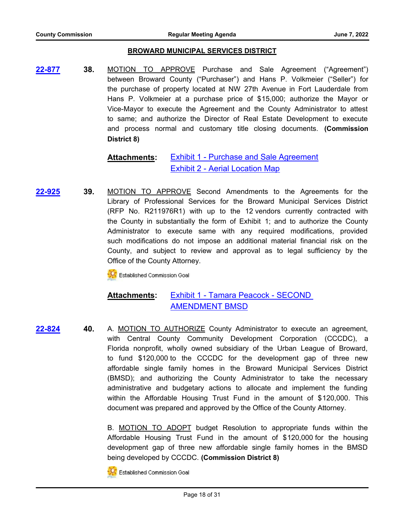# **BROWARD MUNICIPAL SERVICES DISTRICT**

**38.** MOTION TO APPROVE Purchase and Sale Agreement ("Agreement") between Broward County ("Purchaser") and Hans P. Volkmeier ("Seller") for the purchase of property located at NW 27th Avenue in Fort Lauderdale from Hans P. Volkmeier at a purchase price of \$15,000; authorize the Mayor or Vice-Mayor to execute the Agreement and the County Administrator to attest to same; and authorize the Director of Real Estate Development to execute and process normal and customary title closing documents. **(Commission District 8) [22-877](http://broward.legistar.com/gateway.aspx?m=l&id=/matter.aspx?key=10381)**

#### [Exhibit 1 - Purchase and Sale Agreement](http://broward.legistar.com/gateway.aspx?M=F&ID=a312dcbb-c102-4ce9-a8d1-fcce2af88b62.pdf) [Exhibit 2 - Aerial Location Map](http://broward.legistar.com/gateway.aspx?M=F&ID=6d4bf63d-c26c-4cf4-a947-cee406e834c4.pdf) **Attachments:**

**39.** MOTION TO APPROVE Second Amendments to the Agreements for the Library of Professional Services for the Broward Municipal Services District (RFP No. R211976R1) with up to the 12 vendors currently contracted with the County in substantially the form of Exhibit 1; and to authorize the County Administrator to execute same with any required modifications, provided such modifications do not impose an additional material financial risk on the County, and subject to review and approval as to legal sufficiency by the Office of the County Attorney. **[22-925](http://broward.legistar.com/gateway.aspx?m=l&id=/matter.aspx?key=10429)**

**CC** Established Commission Goal

#### [Exhibit 1 - Tamara Peacock - SECOND](http://broward.legistar.com/gateway.aspx?M=F&ID=f4b4fc23-f8f4-47de-96bd-7cdf809079e7.pdf)  AMENDMENT BMSD **Attachments:**

**40.** A. MOTION TO AUTHORIZE County Administrator to execute an agreement, with Central County Community Development Corporation (CCCDC), a Florida nonprofit, wholly owned subsidiary of the Urban League of Broward, to fund \$120,000 to the CCCDC for the development gap of three new affordable single family homes in the Broward Municipal Services District (BMSD); and authorizing the County Administrator to take the necessary administrative and budgetary actions to allocate and implement the funding within the Affordable Housing Trust Fund in the amount of \$120,000. This document was prepared and approved by the Office of the County Attorney. **[22-824](http://broward.legistar.com/gateway.aspx?m=l&id=/matter.aspx?key=10328)**

> B. MOTION TO ADOPT budget Resolution to appropriate funds within the Affordable Housing Trust Fund in the amount of \$120,000 for the housing development gap of three new affordable single family homes in the BMSD being developed by CCCDC. **(Commission District 8)**



**NA** Established Commission Goal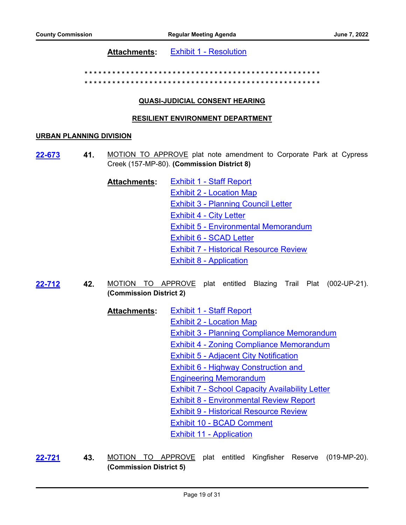**Attachments:** [Exhibit 1 - Resolution](http://broward.legistar.com/gateway.aspx?M=F&ID=3d3d1264-640f-4e71-8a16-3e7668a2031e.pdf)

**\* \* \* \* \* \* \* \* \* \* \* \* \* \* \* \* \* \* \* \* \* \* \* \* \* \* \* \* \* \* \* \* \* \* \* \* \* \* \* \* \* \* \* \* \* \* \* \* \* \* \*** 

**\* \* \* \* \* \* \* \* \* \* \* \* \* \* \* \* \* \* \* \* \* \* \* \* \* \* \* \* \* \* \* \* \* \* \* \* \* \* \* \* \* \* \* \* \* \* \* \* \* \* \***

# **QUASI-JUDICIAL CONSENT HEARING**

# **RESILIENT ENVIRONMENT DEPARTMENT**

## **URBAN PLANNING DIVISION**

- **41.** MOTION TO APPROVE plat note amendment to Corporate Park at Cypress Creek (157-MP-80). **(Commission District 8) [22-673](http://broward.legistar.com/gateway.aspx?m=l&id=/matter.aspx?key=10176)**
	- [Exhibit 1 Staff Report](http://broward.legistar.com/gateway.aspx?M=F&ID=c2dcdeeb-ef28-4c5e-947e-120c206cefb1.pdf) [Exhibit 2 - Location Map](http://broward.legistar.com/gateway.aspx?M=F&ID=cd2264d9-38b8-4df4-b701-d65fb57c2ab8.pdf) [Exhibit 3 - Planning Council Letter](http://broward.legistar.com/gateway.aspx?M=F&ID=4d5fbc36-8846-4cd5-bdc5-61548e1d4bee.pdf) [Exhibit 4 - City Letter](http://broward.legistar.com/gateway.aspx?M=F&ID=c85b7a68-dd63-4aaf-974c-3a5696d6d847.pdf) [Exhibit 5 - Environmental Memorandum](http://broward.legistar.com/gateway.aspx?M=F&ID=60365574-8bcf-4c26-9797-9cd2d4013410.pdf) [Exhibit 6 - SCAD Letter](http://broward.legistar.com/gateway.aspx?M=F&ID=edc098f0-adf3-4ec0-bf32-7e2ab9eb3981.pdf) [Exhibit 7 - Historical Resource Review](http://broward.legistar.com/gateway.aspx?M=F&ID=35c6d15c-9925-4d00-97c8-32987b8b148a.pdf) [Exhibit 8 - Application](http://broward.legistar.com/gateway.aspx?M=F&ID=6b1fbf0c-6b11-4fbc-8c99-90f2ae06d642.pdf) **Attachments:**
- **42.** MOTION TO APPROVE plat entitled Blazing Trail Plat (002-UP-21). **(Commission District 2) [22-712](http://broward.legistar.com/gateway.aspx?m=l&id=/matter.aspx?key=10215)**
	- [Exhibit 1 Staff Report](http://broward.legistar.com/gateway.aspx?M=F&ID=ac9b43d9-cc07-48fa-84be-b3d123ea8979.pdf) [Exhibit 2 - Location Map](http://broward.legistar.com/gateway.aspx?M=F&ID=7759ff37-27cd-4254-99fd-80c23978af06.pdf) [Exhibit 3 - Planning Compliance Memorandum](http://broward.legistar.com/gateway.aspx?M=F&ID=9b9abbd2-dbee-40ff-b874-cefa08f09bbf.pdf) [Exhibit 4 - Zoning Compliance Memorandum](http://broward.legistar.com/gateway.aspx?M=F&ID=2a65034a-33be-488f-942e-5df723dbf26e.pdf) [Exhibit 5 - Adjacent City Notification](http://broward.legistar.com/gateway.aspx?M=F&ID=f5c44d04-fc3d-4fcd-9f1a-fd951ab0132f.pdf) **Exhibit 6 - Highway Construction and** Engineering Memorandum [Exhibit 7 - School Capacity Availability Letter](http://broward.legistar.com/gateway.aspx?M=F&ID=2fb98996-7571-4c31-a557-ea0cebe52df5.pdf) [Exhibit 8 - Environmental Review Report](http://broward.legistar.com/gateway.aspx?M=F&ID=598490fe-f5ab-477d-ae78-7996501d7971.pdf) [Exhibit 9 - Historical Resource Review](http://broward.legistar.com/gateway.aspx?M=F&ID=15098e34-7fc6-4b55-b2f6-25a19b9c90dd.pdf) [Exhibit 10 - BCAD Comment](http://broward.legistar.com/gateway.aspx?M=F&ID=d4b213f3-3c19-44db-bcf4-7d98687ade21.pdf) [Exhibit 11 - Application](http://broward.legistar.com/gateway.aspx?M=F&ID=ddf90515-70d5-4340-af5e-1e67e5a5833c.pdf) **Attachments:**
- **43.** MOTION TO APPROVE plat entitled Kingfisher Reserve (019-MP-20). **(Commission District 5) [22-721](http://broward.legistar.com/gateway.aspx?m=l&id=/matter.aspx?key=10225)**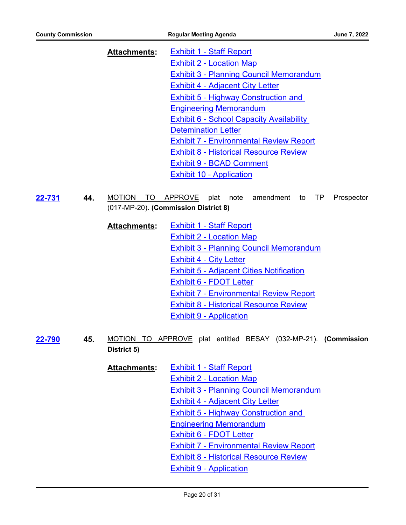[Exhibit 1 - Staff Report](http://broward.legistar.com/gateway.aspx?M=F&ID=66ae0017-59c9-4174-a0e6-529e91cc7218.pdf) [Exhibit 2 - Location Map](http://broward.legistar.com/gateway.aspx?M=F&ID=cc33fa79-477f-497d-9b4c-4040643904ee.pdf) [Exhibit 3 - Planning Council Memorandum](http://broward.legistar.com/gateway.aspx?M=F&ID=f86818a7-7bc7-4df0-9be4-d9a6e3241c5d.pdf) [Exhibit 4 - Adjacent City Letter](http://broward.legistar.com/gateway.aspx?M=F&ID=ad258063-06bc-4f04-986b-c6092c65176a.pdf) [Exhibit 5 - Highway Construction and](http://broward.legistar.com/gateway.aspx?M=F&ID=60adb799-6385-4f19-b36e-874f0996fe29.pdf)  Engineering Memorandum [Exhibit 6 - School Capacity Availability](http://broward.legistar.com/gateway.aspx?M=F&ID=b26a5f5f-4154-4b3c-85a3-15fdbf77aad9.pdf)  Detemination Letter [Exhibit 7 - Environmental Review Report](http://broward.legistar.com/gateway.aspx?M=F&ID=1ce8aeb6-6815-4821-bc82-4c77ebf7eb48.pdf) [Exhibit 8 - Historical Resource Review](http://broward.legistar.com/gateway.aspx?M=F&ID=174a2f9d-a4be-4ff1-a401-4f44b571dee9.pdf) [Exhibit 9 - BCAD Comment](http://broward.legistar.com/gateway.aspx?M=F&ID=9999a763-9c94-44ab-9582-856683c5831a.pdf) [Exhibit 10 - Application](http://broward.legistar.com/gateway.aspx?M=F&ID=e8ff59b3-9e24-4979-b460-494970f6f3fa.pdf) **Attachments:**

**44.** MOTION TO APPROVE plat note amendment to TP Prospector (017-MP-20). **(Commission District 8) [22-731](http://broward.legistar.com/gateway.aspx?m=l&id=/matter.aspx?key=10235)**

- [Exhibit 1 Staff Report](http://broward.legistar.com/gateway.aspx?M=F&ID=5f4881bf-5702-474f-8538-b5a4bb71a34b.pdf) [Exhibit 2 - Location Map](http://broward.legistar.com/gateway.aspx?M=F&ID=881dca45-cebb-4f5b-8d82-234b921ed9bf.pdf) [Exhibit 3 - Planning Council Memorandum](http://broward.legistar.com/gateway.aspx?M=F&ID=aba5ad2a-aba9-45ab-8293-ffcf5ce90f66.pdf) [Exhibit 4 - City Letter](http://broward.legistar.com/gateway.aspx?M=F&ID=3598974f-85a2-4ca7-af08-07349edc64fe.pdf) [Exhibit 5 - Adjacent Cities Notification](http://broward.legistar.com/gateway.aspx?M=F&ID=23a71ab0-daeb-4d96-9da1-56780fc4238b.pdf) [Exhibit 6 - FDOT Letter](http://broward.legistar.com/gateway.aspx?M=F&ID=06785bc7-cb1f-40da-9e93-1480ec4cab9a.pdf) [Exhibit 7 - Environmental Review Report](http://broward.legistar.com/gateway.aspx?M=F&ID=5e5ae86e-13c2-4129-a1bd-a1e1480ccc34.pdf) [Exhibit 8 - Historical Resource Review](http://broward.legistar.com/gateway.aspx?M=F&ID=6e243bf2-af94-462a-aee8-f1029f915b26.pdf) [Exhibit 9 - Application](http://broward.legistar.com/gateway.aspx?M=F&ID=6dbd1c36-4509-4bb1-8c39-c75885eb10b2.pdf) **Attachments:**
- **45.** MOTION TO APPROVE plat entitled BESAY (032-MP-21). **(Commission District 5) [22-790](http://broward.legistar.com/gateway.aspx?m=l&id=/matter.aspx?key=10294)**
	- **[Exhibit 1 Staff Report](http://broward.legistar.com/gateway.aspx?M=F&ID=8cf49dd7-2c17-4460-9091-6428bc106250.pdf)** [Exhibit 2 - Location Map](http://broward.legistar.com/gateway.aspx?M=F&ID=03a89e49-0ba8-4ce3-9bdf-a408e200ab24.pdf) [Exhibit 3 - Planning Council Memorandum](http://broward.legistar.com/gateway.aspx?M=F&ID=6a4adf0f-d5b1-4524-b71a-a7ec23b2dc33.pdf) [Exhibit 4 - Adjacent City Letter](http://broward.legistar.com/gateway.aspx?M=F&ID=2f8b7d3e-7e1c-4bf6-b6c3-6167dd343d6f.pdf) [Exhibit 5 - Highway Construction and](http://broward.legistar.com/gateway.aspx?M=F&ID=fb13c29f-0425-4f10-9fde-15d0b080598a.pdf)  Engineering Memorandum [Exhibit 6 - FDOT Letter](http://broward.legistar.com/gateway.aspx?M=F&ID=f30350d6-c360-42f7-835f-9b3618a6056d.pdf) [Exhibit 7 - Environmental Review Report](http://broward.legistar.com/gateway.aspx?M=F&ID=a18b27b2-3fec-4b84-a9c8-d7e0488c2ce1.pdf) [Exhibit 8 - Historical Resource Review](http://broward.legistar.com/gateway.aspx?M=F&ID=79a0d8cc-e689-4e23-8ef6-2db78c12d769.pdf) [Exhibit 9 - Application](http://broward.legistar.com/gateway.aspx?M=F&ID=9b72f195-7e84-4d6e-80fb-f6de24f46ed6.pdf) **Attachments:**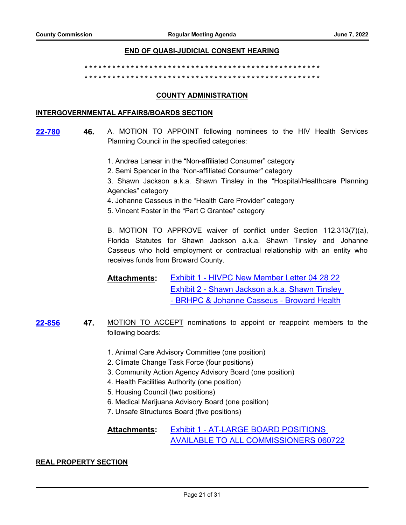# **END OF QUASI-JUDICIAL CONSENT HEARING**

**\* \* \* \* \* \* \* \* \* \* \* \* \* \* \* \* \* \* \* \* \* \* \* \* \* \* \* \* \* \* \* \* \* \* \* \* \* \* \* \* \* \* \* \* \* \* \* \* \* \* \* \* \* \* \* \* \* \* \* \* \* \* \* \* \* \* \* \* \* \* \* \* \* \* \* \* \* \* \* \* \* \* \* \* \* \* \* \* \* \* \* \* \* \* \* \* \* \* \* \* \* \***

# **COUNTY ADMINISTRATION**

# **INTERGOVERNMENTAL AFFAIRS/BOARDS SECTION**

- **46.** A. MOTION TO APPOINT following nominees to the HIV Health Services Planning Council in the specified categories: **[22-780](http://broward.legistar.com/gateway.aspx?m=l&id=/matter.aspx?key=10284)**
	- 1. Andrea Lanear in the "Non-affiliated Consumer" category
	- 2. Semi Spencer in the "Non-affiliated Consumer" category
	- 3. Shawn Jackson a.k.a. Shawn Tinsley in the "Hospital/Healthcare Planning Agencies" category
	- 4. Johanne Casseus in the "Health Care Provider" category
	- 5. Vincent Foster in the "Part C Grantee" category

B. MOTION TO APPROVE waiver of conflict under Section 112.313(7)(a), Florida Statutes for Shawn Jackson a.k.a. Shawn Tinsley and Johanne Casseus who hold employment or contractual relationship with an entity who receives funds from Broward County.

[Exhibit 1 - HIVPC New Member Letter 04 28 22](http://broward.legistar.com/gateway.aspx?M=F&ID=8bff04b6-dbb0-4b5d-a020-e938b5dcfb03.pdf) [Exhibit 2 - Shawn Jackson a.k.a. Shawn Tinsley](http://broward.legistar.com/gateway.aspx?M=F&ID=2c5717f5-485a-4aae-bba8-acb328557d18.pdf)  - BRHPC & Johanne Casseus - Broward Health **Attachments:**

- **47.** MOTION TO ACCEPT nominations to appoint or reappoint members to the following boards: **[22-856](http://broward.legistar.com/gateway.aspx?m=l&id=/matter.aspx?key=10360)**
	- 1. Animal Care Advisory Committee (one position)
	- 2. Climate Change Task Force (four positions)
	- 3. Community Action Agency Advisory Board (one position)
	- 4. Health Facilities Authority (one position)
	- 5. Housing Council (two positions)
	- 6. Medical Marijuana Advisory Board (one position)
	- 7. Unsafe Structures Board (five positions)

#### Exhibit 1 - AT-LARGE BOARD POSITIONS [AVAILABLE TO ALL COMMISSIONERS 060722](http://broward.legistar.com/gateway.aspx?M=F&ID=4da15620-2e21-4f47-b699-7eb0d2927b5b.pdf) **Attachments:**

# **REAL PROPERTY SECTION**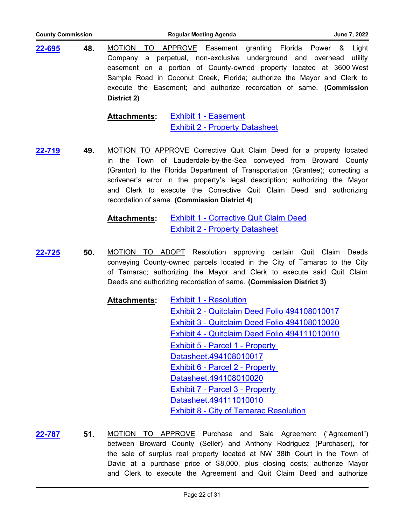| <b>County Commission</b>                                             |     | <b>Regular Meeting Agenda</b><br>June 7, 2022                                                                                                                                                                                                                                                                                                |  |
|----------------------------------------------------------------------|-----|----------------------------------------------------------------------------------------------------------------------------------------------------------------------------------------------------------------------------------------------------------------------------------------------------------------------------------------------|--|
| 22-695<br>48.<br><b>MOTION</b><br>TO.<br>Company<br>a<br>District 2) |     | APPROVE Easement granting Florida Power &<br>Light<br>perpetual, non-exclusive underground and overhead<br>utility<br>easement on a portion of County-owned property located at 3600 West<br>Sample Road in Coconut Creek, Florida; authorize the Mayor and Clerk to<br>execute the Easement; and authorize recordation of same. (Commission |  |
|                                                                      |     | <b>Exhibit 1 - Easement</b><br><b>Attachments:</b><br><b>Exhibit 2 - Property Datasheet</b>                                                                                                                                                                                                                                                  |  |
| 22-719                                                               | 49. | MOTION TO APPROVE Corrective Quit Claim Deed for a property located                                                                                                                                                                                                                                                                          |  |

in the Town of Lauderdale-by-the-Sea conveyed from Broward County (Grantor) to the Florida Department of Transportation (Grantee); correcting a scrivener's error in the property's legal description; authorizing the Mayor and Clerk to execute the Corrective Quit Claim Deed and authorizing recordation of same. **(Commission District 4)**

> [Exhibit 1 - Corrective Quit Claim Deed](http://broward.legistar.com/gateway.aspx?M=F&ID=f950bf92-1ea5-40e3-aae7-e3e7c8a96815.pdf) [Exhibit 2 - Property Datasheet](http://broward.legistar.com/gateway.aspx?M=F&ID=e5c8f5e4-9f9d-4f84-92af-730535eb3f29.pdf) **Attachments:**

**50.** MOTION TO ADOPT Resolution approving certain Quit Claim Deeds conveying County-owned parcels located in the City of Tamarac to the City of Tamarac; authorizing the Mayor and Clerk to execute said Quit Claim Deeds and authorizing recordation of same. **(Commission District 3) [22-725](http://broward.legistar.com/gateway.aspx?m=l&id=/matter.aspx?key=10229)**

> [Exhibit 1 - Resolution](http://broward.legistar.com/gateway.aspx?M=F&ID=cbde765b-bbca-4bb8-935c-4655623e2108.pdf) [Exhibit 2 - Quitclaim Deed Folio 494108010017](http://broward.legistar.com/gateway.aspx?M=F&ID=6c32d5f3-c772-4906-a34b-68a22ab7a502.pdf) [Exhibit 3 - Quitclaim Deed Folio 494108010020](http://broward.legistar.com/gateway.aspx?M=F&ID=e893ba60-0f91-439b-b14d-a464e5e6fdfc.pdf) [Exhibit 4 - Quitclaim Deed Folio 494111010010](http://broward.legistar.com/gateway.aspx?M=F&ID=95907f33-634f-4d04-aaf4-879f70f87ddf.pdf) **Exhibit 5 - Parcel 1 - Property** Datasheet.494108010017 **Exhibit 6 - Parcel 2 - Property** Datasheet.494108010020 [Exhibit 7 - Parcel 3 - Property](http://broward.legistar.com/gateway.aspx?M=F&ID=661f1a89-e085-40f5-96e1-c91afd4b582d.pdf)  Datasheet.494111010010 [Exhibit 8 - City of Tamarac Resolution](http://broward.legistar.com/gateway.aspx?M=F&ID=21ee44a9-5383-4703-969c-167c004fa75e.pdf) **Attachments:**

**51.** MOTION TO APPROVE Purchase and Sale Agreement ("Agreement") between Broward County (Seller) and Anthony Rodriguez (Purchaser), for the sale of surplus real property located at NW 38th Court in the Town of Davie at a purchase price of \$8,000, plus closing costs; authorize Mayor and Clerk to execute the Agreement and Quit Claim Deed and authorize **[22-787](http://broward.legistar.com/gateway.aspx?m=l&id=/matter.aspx?key=10291)**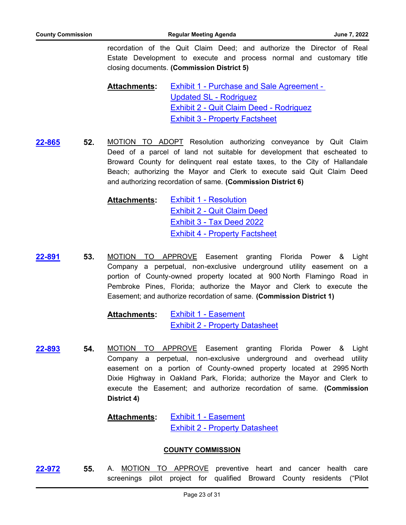recordation of the Quit Claim Deed; and authorize the Director of Real Estate Development to execute and process normal and customary title closing documents. **(Commission District 5)**

[Exhibit 1 - Purchase and Sale Agreement -](http://broward.legistar.com/gateway.aspx?M=F&ID=5443865f-48ac-4b70-adde-19e9d1049843.pdf)  Updated SL - Rodriguez [Exhibit 2 - Quit Claim Deed - Rodriguez](http://broward.legistar.com/gateway.aspx?M=F&ID=fcb6cd76-3252-4470-8a8d-b888e58d2937.pdf) [Exhibit 3 - Property Factsheet](http://broward.legistar.com/gateway.aspx?M=F&ID=6b307b7f-af88-4f03-b923-80b2eacdd2cd.pdf) **Attachments:**

**52.** MOTION TO ADOPT Resolution authorizing conveyance by Quit Claim Deed of a parcel of land not suitable for development that escheated to Broward County for delinquent real estate taxes, to the City of Hallandale Beach; authorizing the Mayor and Clerk to execute said Quit Claim Deed and authorizing recordation of same. **(Commission District 6) [22-865](http://broward.legistar.com/gateway.aspx?m=l&id=/matter.aspx?key=10369)**

> [Exhibit 1 - Resolution](http://broward.legistar.com/gateway.aspx?M=F&ID=a9a7df91-a98d-4851-809f-b0f0f45308d7.pdf) [Exhibit 2 - Quit Claim Deed](http://broward.legistar.com/gateway.aspx?M=F&ID=3363ac9e-f076-41ef-a1cf-1160d9d3f7be.pdf) [Exhibit 3 - Tax Deed 2022](http://broward.legistar.com/gateway.aspx?M=F&ID=78d2fb9f-6e6c-4030-81d9-65518bcc5ea5.pdf) [Exhibit 4 - Property Factsheet](http://broward.legistar.com/gateway.aspx?M=F&ID=dba26a70-700f-47bc-b2d3-bb582408d805.pdf) **Attachments:**

**53.** MOTION TO APPROVE Easement granting Florida Power & Light Company a perpetual, non-exclusive underground utility easement on a portion of County-owned property located at 900 North Flamingo Road in Pembroke Pines, Florida; authorize the Mayor and Clerk to execute the Easement; and authorize recordation of same. **(Commission District 1) [22-891](http://broward.legistar.com/gateway.aspx?m=l&id=/matter.aspx?key=10395)**

> [Exhibit 1 - Easement](http://broward.legistar.com/gateway.aspx?M=F&ID=59a1732d-5db8-400c-8810-0653739e1669.pdf) [Exhibit 2 - Property Datasheet](http://broward.legistar.com/gateway.aspx?M=F&ID=049fe37f-eaed-44d7-8e5f-027bd569c5da.pdf) **Attachments:**

**54.** MOTION TO APPROVE Easement granting Florida Power & Light Company a perpetual, non-exclusive underground and overhead utility easement on a portion of County-owned property located at 2995 North Dixie Highway in Oakland Park, Florida; authorize the Mayor and Clerk to execute the Easement; and authorize recordation of same. **(Commission District 4) [22-893](http://broward.legistar.com/gateway.aspx?m=l&id=/matter.aspx?key=10397)**

#### [Exhibit 1 - Easement](http://broward.legistar.com/gateway.aspx?M=F&ID=21cadeed-f04d-413f-9561-2b6fad24213a.pdf) [Exhibit 2 - Property Datasheet](http://broward.legistar.com/gateway.aspx?M=F&ID=22e70e76-8b8c-4cd2-9938-577360703d7a.pdf) **Attachments:**

# **COUNTY COMMISSION**

**55.** A. MOTION TO APPROVE preventive heart and cancer health care screenings pilot project for qualified Broward County residents ("Pilot **[22-972](http://broward.legistar.com/gateway.aspx?m=l&id=/matter.aspx?key=10476)**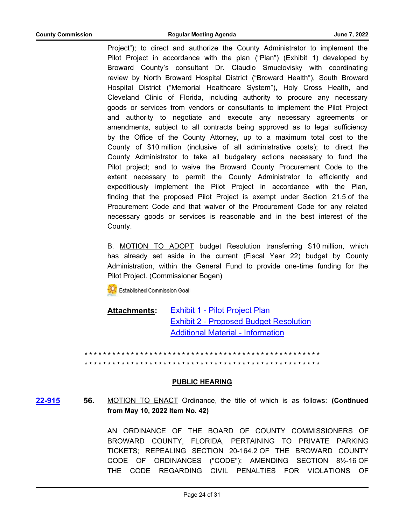Project"); to direct and authorize the County Administrator to implement the Pilot Project in accordance with the plan ("Plan") (Exhibit 1) developed by Broward County's consultant Dr. Claudio Smuclovisky with coordinating review by North Broward Hospital District ("Broward Health"), South Broward Hospital District ("Memorial Healthcare System"), Holy Cross Health, and Cleveland Clinic of Florida, including authority to procure any necessary goods or services from vendors or consultants to implement the Pilot Project and authority to negotiate and execute any necessary agreements or amendments, subject to all contracts being approved as to legal sufficiency by the Office of the County Attorney, up to a maximum total cost to the County of \$10 million (inclusive of all administrative costs); to direct the County Administrator to take all budgetary actions necessary to fund the Pilot project; and to waive the Broward County Procurement Code to the extent necessary to permit the County Administrator to efficiently and expeditiously implement the Pilot Project in accordance with the Plan, finding that the proposed Pilot Project is exempt under Section 21.5 of the Procurement Code and that waiver of the Procurement Code for any related necessary goods or services is reasonable and in the best interest of the County.

B. MOTION TO ADOPT budget Resolution transferring \$10 million, which has already set aside in the current (Fiscal Year 22) budget by County Administration, within the General Fund to provide one-time funding for the Pilot Project. (Commissioner Bogen)

**K** Established Commission Goal

[Exhibit 1 - Pilot Project Plan](http://broward.legistar.com/gateway.aspx?M=F&ID=be3b011c-a1b6-42b1-b5e4-914c32018dca.pdf) [Exhibit 2 - Proposed Budget Resolution](http://broward.legistar.com/gateway.aspx?M=F&ID=bd258674-99e3-45a5-92b4-cb1b26c06008.PDF) [Additional Material - Information](http://broward.legistar.com/gateway.aspx?M=F&ID=5b16bb0f-b2e5-435a-823a-db3fa3633a3a.pdf) **Attachments:**

**\* \* \* \* \* \* \* \* \* \* \* \* \* \* \* \* \* \* \* \* \* \* \* \* \* \* \* \* \* \* \* \* \* \* \* \* \* \* \* \* \* \* \* \* \* \* \* \* \* \* \* \* \* \* \* \* \* \* \* \* \* \* \* \* \* \* \* \* \* \* \* \* \* \* \* \* \* \* \* \* \* \* \* \* \* \* \* \* \* \* \* \* \* \* \* \* \* \* \* \* \* \***

# **PUBLIC HEARING**

**56.** MOTION TO ENACT Ordinance, the title of which is as follows: **(Continued from May 10, 2022 Item No. 42) [22-915](http://broward.legistar.com/gateway.aspx?m=l&id=/matter.aspx?key=10419)**

> AN ORDINANCE OF THE BOARD OF COUNTY COMMISSIONERS OF BROWARD COUNTY, FLORIDA, PERTAINING TO PRIVATE PARKING TICKETS; REPEALING SECTION 20-164.2 OF THE BROWARD COUNTY CODE OF ORDINANCES ("CODE"); AMENDING SECTION 8½-16 OF THE CODE REGARDING CIVIL PENALTIES FOR VIOLATIONS OF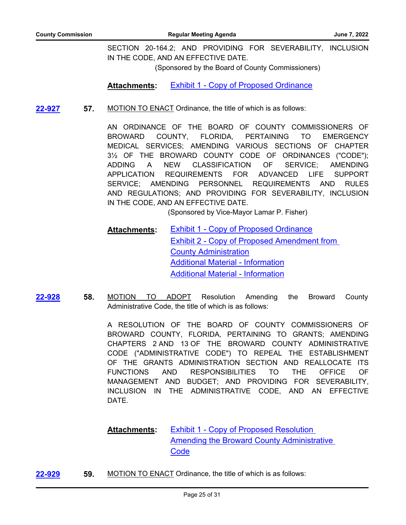SECTION 20-164.2; AND PROVIDING FOR SEVERABILITY, INCLUSION IN THE CODE, AND AN EFFECTIVE DATE.

(Sponsored by the Board of County Commissioners)

**Attachments:** [Exhibit 1 - Copy of Proposed Ordinance](http://broward.legistar.com/gateway.aspx?M=F&ID=732c0833-7479-4c4c-ba31-04cf1173f893.pdf)

**57.** MOTION TO ENACT Ordinance, the title of which is as follows: **[22-927](http://broward.legistar.com/gateway.aspx?m=l&id=/matter.aspx?key=10431)**

> AN ORDINANCE OF THE BOARD OF COUNTY COMMISSIONERS OF BROWARD COUNTY, FLORIDA, PERTAINING TO EMERGENCY MEDICAL SERVICES; AMENDING VARIOUS SECTIONS OF CHAPTER 3½ OF THE BROWARD COUNTY CODE OF ORDINANCES ("CODE"); ADDING A NEW CLASSIFICATION OF SERVICE; AMENDING APPLICATION REQUIREMENTS FOR ADVANCED LIFE SUPPORT SERVICE; AMENDING PERSONNEL REQUIREMENTS AND RULES AND REGULATIONS; AND PROVIDING FOR SEVERABILITY, INCLUSION IN THE CODE, AND AN EFFECTIVE DATE.

> > (Sponsored by Vice-Mayor Lamar P. Fisher)

[Exhibit 1 - Copy of Proposed Ordinance](http://broward.legistar.com/gateway.aspx?M=F&ID=54e45012-3b6b-4126-ac24-90751a15f555.PDF) [Exhibit 2 - Copy of Proposed Amendment from](http://broward.legistar.com/gateway.aspx?M=F&ID=019723f9-3833-4879-92c2-9143c4c1af46.pdf)  County Administration [Additional Material - Information](http://broward.legistar.com/gateway.aspx?M=F&ID=958f5fa7-6c6b-4318-a1c0-a77a0e5217c0.pdf) [Additional Material - Information](http://broward.legistar.com/gateway.aspx?M=F&ID=5a6b5b05-485b-46ac-a315-48db02f6f430.pdf) **Attachments:**

**58.** MOTION TO ADOPT Resolution Amending the Broward County Administrative Code, the title of which is as follows: **[22-928](http://broward.legistar.com/gateway.aspx?m=l&id=/matter.aspx?key=10432)**

> A RESOLUTION OF THE BOARD OF COUNTY COMMISSIONERS OF BROWARD COUNTY, FLORIDA, PERTAINING TO GRANTS; AMENDING CHAPTERS 2 AND 13 OF THE BROWARD COUNTY ADMINISTRATIVE CODE ("ADMINISTRATIVE CODE") TO REPEAL THE ESTABLISHMENT OF THE GRANTS ADMINISTRATION SECTION AND REALLOCATE ITS FUNCTIONS AND RESPONSIBILITIES TO THE OFFICE OF MANAGEMENT AND BUDGET; AND PROVIDING FOR SEVERABILITY, INCLUSION IN THE ADMINISTRATIVE CODE, AND AN EFFECTIVE DATE.

Exhibit 1 - Copy of Proposed Resolution Amending the Broward County Administrative **Code Attachments:**

**[22-929](http://broward.legistar.com/gateway.aspx?m=l&id=/matter.aspx?key=10433) 59.** MOTION TO ENACT Ordinance, the title of which is as follows: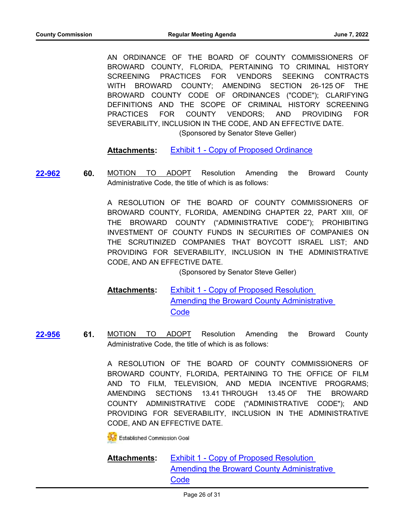AN ORDINANCE OF THE BOARD OF COUNTY COMMISSIONERS OF BROWARD COUNTY, FLORIDA, PERTAINING TO CRIMINAL HISTORY SCREENING PRACTICES FOR VENDORS SEEKING CONTRACTS WITH BROWARD COUNTY; AMENDING SECTION 26-125 OF THE BROWARD COUNTY CODE OF ORDINANCES ("CODE"); CLARIFYING DEFINITIONS AND THE SCOPE OF CRIMINAL HISTORY SCREENING PRACTICES FOR COUNTY VENDORS; AND PROVIDING FOR SEVERABILITY, INCLUSION IN THE CODE, AND AN EFFECTIVE DATE.

(Sponsored by Senator Steve Geller)

**Attachments:** [Exhibit 1 - Copy of Proposed Ordinance](http://broward.legistar.com/gateway.aspx?M=F&ID=2c0dba09-64be-4990-b7ae-19f8c88385f5.PDF)

**[22-962](http://broward.legistar.com/gateway.aspx?m=l&id=/matter.aspx?key=10466)**

**60.** MOTION TO ADOPT Resolution Amending the Broward County Administrative Code, the title of which is as follows:

> A RESOLUTION OF THE BOARD OF COUNTY COMMISSIONERS OF BROWARD COUNTY, FLORIDA, AMENDING CHAPTER 22, PART XIII, OF THE BROWARD COUNTY ("ADMINISTRATIVE CODE"); PROHIBITING INVESTMENT OF COUNTY FUNDS IN SECURITIES OF COMPANIES ON THE SCRUTINIZED COMPANIES THAT BOYCOTT ISRAEL LIST; AND PROVIDING FOR SEVERABILITY, INCLUSION IN THE ADMINISTRATIVE CODE, AND AN EFFECTIVE DATE.

> > (Sponsored by Senator Steve Geller)

Exhibit 1 - Copy of Proposed Resolution [Amending the Broward County Administrative](http://broward.legistar.com/gateway.aspx?M=F&ID=f8208aec-af9c-483b-97b2-3cb876508800.pdf)  **Code Attachments:**

**61.** MOTION TO ADOPT Resolution Amending the Broward County Administrative Code, the title of which is as follows: **[22-956](http://broward.legistar.com/gateway.aspx?m=l&id=/matter.aspx?key=10460)**

> A RESOLUTION OF THE BOARD OF COUNTY COMMISSIONERS OF BROWARD COUNTY, FLORIDA, PERTAINING TO THE OFFICE OF FILM AND TO FILM, TELEVISION, AND MEDIA INCENTIVE PROGRAMS; AMENDING SECTIONS 13.41 THROUGH 13.45 OF THE BROWARD COUNTY ADMINISTRATIVE CODE ("ADMINISTRATIVE CODE"); AND PROVIDING FOR SEVERABILITY, INCLUSION IN THE ADMINISTRATIVE CODE, AND AN EFFECTIVE DATE.

**Established Commission Goal** 

Exhibit 1 - Copy of Proposed Resolution [Amending the Broward County Administrative](http://broward.legistar.com/gateway.aspx?M=F&ID=c2645ec3-a57b-49d5-942d-511787d7f061.pdf)  **Code Attachments:**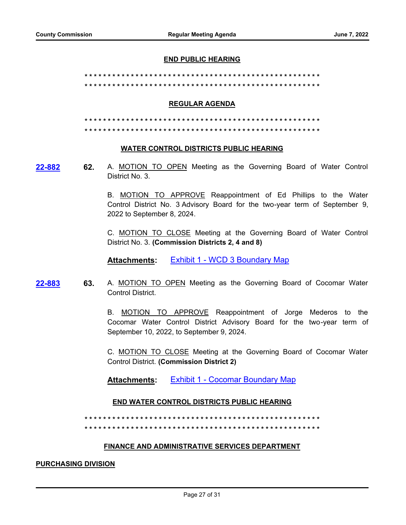#### **END PUBLIC HEARING**

**\* \* \* \* \* \* \* \* \* \* \* \* \* \* \* \* \* \* \* \* \* \* \* \* \* \* \* \* \* \* \* \* \* \* \* \* \* \* \* \* \* \* \* \* \* \* \* \* \* \* \***

**\* \* \* \* \* \* \* \* \* \* \* \* \* \* \* \* \* \* \* \* \* \* \* \* \* \* \* \* \* \* \* \* \* \* \* \* \* \* \* \* \* \* \* \* \* \* \* \* \* \* \***

## **REGULAR AGENDA**

**\* \* \* \* \* \* \* \* \* \* \* \* \* \* \* \* \* \* \* \* \* \* \* \* \* \* \* \* \* \* \* \* \* \* \* \* \* \* \* \* \* \* \* \* \* \* \* \* \* \* \***

**\* \* \* \* \* \* \* \* \* \* \* \* \* \* \* \* \* \* \* \* \* \* \* \* \* \* \* \* \* \* \* \* \* \* \* \* \* \* \* \* \* \* \* \* \* \* \* \* \* \* \***

## **WATER CONTROL DISTRICTS PUBLIC HEARING**

**[22-882](http://broward.legistar.com/gateway.aspx?m=l&id=/matter.aspx?key=10386)**

**62.** A. MOTION TO OPEN Meeting as the Governing Board of Water Control District No. 3.

B. **MOTION TO APPROVE** Reappointment of Ed Phillips to the Water Control District No. 3 Advisory Board for the two-year term of September 9, 2022 to September 8, 2024.

C. MOTION TO CLOSE Meeting at the Governing Board of Water Control District No. 3. **(Commission Districts 2, 4 and 8)**

**Attachments:** [Exhibit 1 - WCD 3 Boundary Map](http://broward.legistar.com/gateway.aspx?M=F&ID=bae999c9-337a-481b-807f-162a34ee9549.pdf)

**63.** A. MOTION TO OPEN Meeting as the Governing Board of Cocomar Water Control District. **[22-883](http://broward.legistar.com/gateway.aspx?m=l&id=/matter.aspx?key=10387)**

> B. MOTION TO APPROVE Reappointment of Jorge Mederos to the Cocomar Water Control District Advisory Board for the two-year term of September 10, 2022, to September 9, 2024.

> C. MOTION TO CLOSE Meeting at the Governing Board of Cocomar Water Control District. **(Commission District 2)**

**Attachments:** [Exhibit 1 - Cocomar Boundary Map](http://broward.legistar.com/gateway.aspx?M=F&ID=40712dae-a231-4f6c-b351-093486393450.pdf)

# **END WATER CONTROL DISTRICTS PUBLIC HEARING**

**\* \* \* \* \* \* \* \* \* \* \* \* \* \* \* \* \* \* \* \* \* \* \* \* \* \* \* \* \* \* \* \* \* \* \* \* \* \* \* \* \* \* \* \* \* \* \* \* \* \* \* \* \* \* \* \* \* \* \* \* \* \* \* \* \* \* \* \* \* \* \* \* \* \* \* \* \* \* \* \* \* \* \* \* \* \* \* \* \* \* \* \* \* \* \* \* \* \* \* \* \* \***

# **FINANCE AND ADMINISTRATIVE SERVICES DEPARTMENT**

## **PURCHASING DIVISION**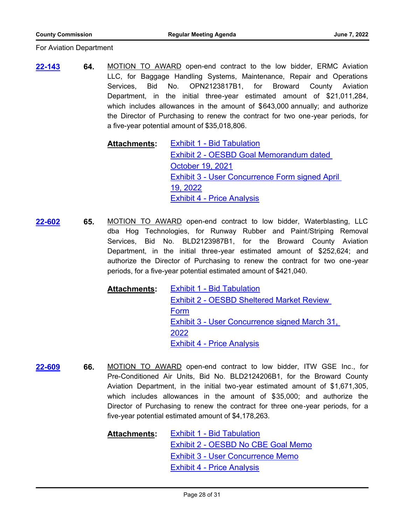For Aviation Department

**64.** MOTION TO AWARD open-end contract to the low bidder, ERMC Aviation LLC, for Baggage Handling Systems, Maintenance, Repair and Operations Services, Bid No. OPN2123817B1, for Broward County Aviation Department, in the initial three-year estimated amount of \$21,011,284, which includes allowances in the amount of \$643,000 annually; and authorize the Director of Purchasing to renew the contract for two one-year periods, for a five-year potential amount of \$35,018,806. **[22-143](http://broward.legistar.com/gateway.aspx?m=l&id=/matter.aspx?key=9646)**

> [Exhibit 1 - Bid Tabulation](http://broward.legistar.com/gateway.aspx?M=F&ID=9e953e05-83ef-4f1a-be11-769608790ce5.pdf) [Exhibit 2 - OESBD Goal Memorandum dated](http://broward.legistar.com/gateway.aspx?M=F&ID=249a586b-9255-4a13-af21-634fb3e498c3.pdf)  October 19, 2021 [Exhibit 3 - User Concurrence Form signed April](http://broward.legistar.com/gateway.aspx?M=F&ID=b68870bf-68f3-4881-a1d1-193b936d6ef9.pdf)  19, 2022 [Exhibit 4 - Price Analysis](http://broward.legistar.com/gateway.aspx?M=F&ID=c61ece62-f6a8-4783-9dd6-07c0b0e57a1e.pdf) **Attachments:**

**65.** MOTION TO AWARD open-end contract to low bidder, Waterblasting, LLC dba Hog Technologies, for Runway Rubber and Paint/Striping Removal Services, Bid No. BLD2123987B1, for the Broward County Aviation Department, in the initial three-year estimated amount of \$252,624; and authorize the Director of Purchasing to renew the contract for two one-year periods, for a five-year potential estimated amount of \$421,040. **[22-602](http://broward.legistar.com/gateway.aspx?m=l&id=/matter.aspx?key=10105)**

> [Exhibit 1 - Bid Tabulation](http://broward.legistar.com/gateway.aspx?M=F&ID=9933267d-37fc-4739-9f49-c0930bdb902e.pdf) [Exhibit 2 - OESBD Sheltered Market Review](http://broward.legistar.com/gateway.aspx?M=F&ID=3289803c-ee54-472e-8fce-6c634dd56014.pdf)  Form [Exhibit 3 - User Concurrence signed March 31,](http://broward.legistar.com/gateway.aspx?M=F&ID=a33fa0fb-ed8e-4968-b95d-86a16f4dd21f.pdf)  2022 [Exhibit 4 - Price Analysis](http://broward.legistar.com/gateway.aspx?M=F&ID=840edb07-887b-4046-a90a-a4ec92810945.pdf) **Attachments:**

**66.** MOTION TO AWARD open-end contract to low bidder, ITW GSE Inc., for Pre-Conditioned Air Units, Bid No. BLD2124206B1, for the Broward County Aviation Department, in the initial two-year estimated amount of \$1,671,305, which includes allowances in the amount of \$35,000; and authorize the Director of Purchasing to renew the contract for three one-year periods, for a five-year potential estimated amount of \$4,178,263. **[22-609](http://broward.legistar.com/gateway.aspx?m=l&id=/matter.aspx?key=10112)**

> [Exhibit 1 - Bid Tabulation](http://broward.legistar.com/gateway.aspx?M=F&ID=e21cd374-70a5-4dfd-8b37-eaaa97233bc4.pdf) [Exhibit 2 - OESBD No CBE Goal Memo](http://broward.legistar.com/gateway.aspx?M=F&ID=cce52496-3144-4f49-9bd7-509512065770.pdf) [Exhibit 3 - User Concurrence Memo](http://broward.legistar.com/gateway.aspx?M=F&ID=255e722d-c6b1-4425-81f2-53907d1c00cc.pdf) [Exhibit 4 - Price Analysis](http://broward.legistar.com/gateway.aspx?M=F&ID=2f2c400c-be90-405b-988e-57cfcc5ee9b4.pdf) **Attachments:**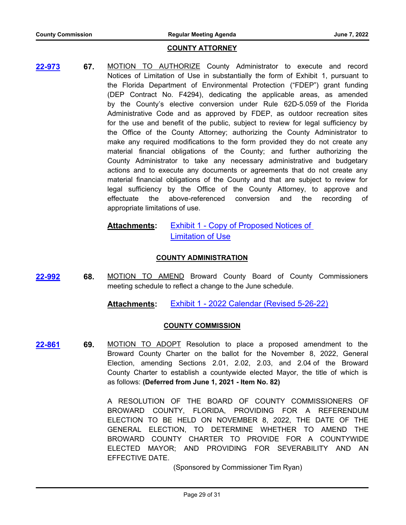## **COUNTY ATTORNEY**

**67.** MOTION TO AUTHORIZE County Administrator to execute and record Notices of Limitation of Use in substantially the form of Exhibit 1, pursuant to the Florida Department of Environmental Protection ("FDEP") grant funding (DEP Contract No. F4294), dedicating the applicable areas, as amended by the County's elective conversion under Rule 62D-5.059 of the Florida Administrative Code and as approved by FDEP, as outdoor recreation sites for the use and benefit of the public, subject to review for legal sufficiency by the Office of the County Attorney; authorizing the County Administrator to make any required modifications to the form provided they do not create any material financial obligations of the County; and further authorizing the County Administrator to take any necessary administrative and budgetary actions and to execute any documents or agreements that do not create any material financial obligations of the County and that are subject to review for legal sufficiency by the Office of the County Attorney, to approve and effectuate the above-referenced conversion and the recording of appropriate limitations of use. **[22-973](http://broward.legistar.com/gateway.aspx?m=l&id=/matter.aspx?key=10477)**

#### [Exhibit 1 - Copy of Proposed Notices of](http://broward.legistar.com/gateway.aspx?M=F&ID=82b4ab50-a58d-4e41-84a9-17f17fe98a3d.pdf)  **Limitation of Use Attachments:**

# **COUNTY ADMINISTRATION**

**68.** MOTION TO AMEND Broward County Board of County Commissioners meeting schedule to reflect a change to the June schedule. **[22-992](http://broward.legistar.com/gateway.aspx?m=l&id=/matter.aspx?key=10496)**

**Attachments:** [Exhibit 1 - 2022 Calendar \(Revised 5-26-22\)](http://broward.legistar.com/gateway.aspx?M=F&ID=1c0c17e9-868b-436e-b043-05b8924f6075.pdf)

# **COUNTY COMMISSION**

**69.** MOTION TO ADOPT Resolution to place a proposed amendment to the Broward County Charter on the ballot for the November 8, 2022, General Election, amending Sections 2.01, 2.02, 2.03, and 2.04 of the Broward County Charter to establish a countywide elected Mayor, the title of which is as follows: **(Deferred from June 1, 2021 - Item No. 82) [22-861](http://broward.legistar.com/gateway.aspx?m=l&id=/matter.aspx?key=10365)**

> A RESOLUTION OF THE BOARD OF COUNTY COMMISSIONERS OF BROWARD COUNTY, FLORIDA, PROVIDING FOR A REFERENDUM ELECTION TO BE HELD ON NOVEMBER 8, 2022, THE DATE OF THE GENERAL ELECTION, TO DETERMINE WHETHER TO AMEND THE BROWARD COUNTY CHARTER TO PROVIDE FOR A COUNTYWIDE ELECTED MAYOR; AND PROVIDING FOR SEVERABILITY AND AN EFFECTIVE DATE.

> > (Sponsored by Commissioner Tim Ryan)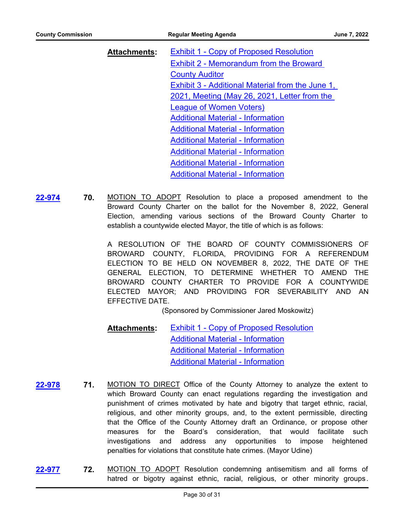| <b>Attachments:</b> | <b>Exhibit 1 - Copy of Proposed Resolution</b>   |
|---------------------|--------------------------------------------------|
|                     | <b>Exhibit 2 - Memorandum from the Broward</b>   |
|                     | <b>County Auditor</b>                            |
|                     | Exhibit 3 - Additional Material from the June 1, |
|                     | 2021, Meeting (May 26, 2021, Letter from the     |
|                     | <b>League of Women Voters)</b>                   |
|                     | <b>Additional Material - Information</b>         |
|                     | <b>Additional Material - Information</b>         |
|                     | <b>Additional Material - Information</b>         |
|                     | <b>Additional Material - Information</b>         |
|                     | <b>Additional Material - Information</b>         |
|                     | <b>Additional Material - Information</b>         |

**70.** MOTION TO ADOPT Resolution to place a proposed amendment to the Broward County Charter on the ballot for the November 8, 2022, General Election, amending various sections of the Broward County Charter to establish a countywide elected Mayor, the title of which is as follows: **[22-974](http://broward.legistar.com/gateway.aspx?m=l&id=/matter.aspx?key=10478)**

> A RESOLUTION OF THE BOARD OF COUNTY COMMISSIONERS OF BROWARD COUNTY, FLORIDA, PROVIDING FOR A REFERENDUM ELECTION TO BE HELD ON NOVEMBER 8, 2022, THE DATE OF THE GENERAL ELECTION, TO DETERMINE WHETHER TO AMEND THE BROWARD COUNTY CHARTER TO PROVIDE FOR A COUNTYWIDE ELECTED MAYOR; AND PROVIDING FOR SEVERABILITY AND AN EFFECTIVE DATE.

> > (Sponsored by Commissioner Jared Moskowitz)

- **[Exhibit 1 Copy of Proposed Resolution](http://broward.legistar.com/gateway.aspx?M=F&ID=7f31bd8f-eb3a-4ce6-a40c-2c3b7e70c775.pdf)** [Additional Material - Information](http://broward.legistar.com/gateway.aspx?M=F&ID=42e5afa9-92d8-4a0e-9060-3937ed38504b.pdf) [Additional Material - Information](http://broward.legistar.com/gateway.aspx?M=F&ID=2149d695-f3e5-4e94-968a-ef3e4f989255.pdf) [Additional Material - Information](http://broward.legistar.com/gateway.aspx?M=F&ID=c1b1b9df-02f8-4a71-a3f7-ef66fb9eb712.pdf) **Attachments:**
- **71.** MOTION TO DIRECT Office of the County Attorney to analyze the extent to which Broward County can enact regulations regarding the investigation and punishment of crimes motivated by hate and bigotry that target ethnic, racial, religious, and other minority groups, and, to the extent permissible, directing that the Office of the County Attorney draft an Ordinance, or propose other measures for the Board's consideration, that would facilitate such investigations and address any opportunities to impose heightened penalties for violations that constitute hate crimes. (Mayor Udine) **[22-978](http://broward.legistar.com/gateway.aspx?m=l&id=/matter.aspx?key=10482)**
- **72.** MOTION TO ADOPT Resolution condemning antisemitism and all forms of hatred or bigotry against ethnic, racial, religious, or other minority groups . **[22-977](http://broward.legistar.com/gateway.aspx?m=l&id=/matter.aspx?key=10481)**